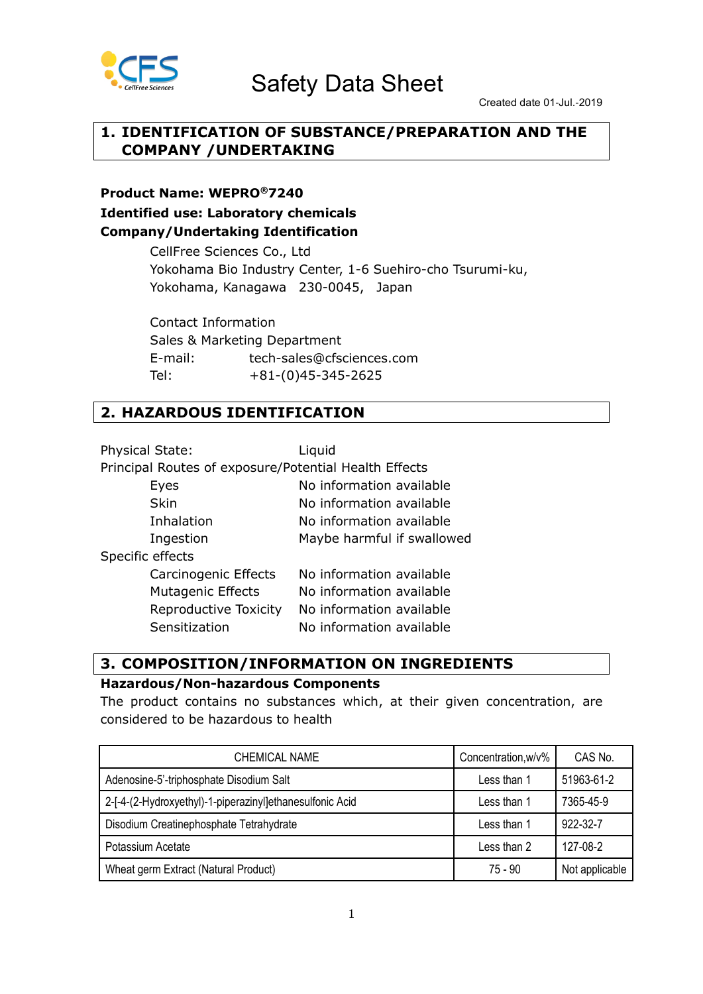

### **Product Name: WEPRO®7240**

### **Identified use: Laboratory chemicals Company/Undertaking Identification**

CellFree Sciences Co., Ltd Yokohama Bio Industry Center, 1-6 Suehiro-cho Tsurumi-ku, Yokohama, Kanagawa 230-0045, Japan

Contact Information Sales & Marketing Department E-mail: tech-sales@cfsciences.com Tel: +81-(0)45-345-2625

## **2. HAZARDOUS IDENTIFICATION**

| <b>Physical State:</b>                                | Liquid                     |
|-------------------------------------------------------|----------------------------|
| Principal Routes of exposure/Potential Health Effects |                            |
| Eyes                                                  | No information available   |
| <b>Skin</b>                                           | No information available   |
| Inhalation                                            | No information available   |
| Ingestion                                             | Maybe harmful if swallowed |
| Specific effects                                      |                            |
| Carcinogenic Effects                                  | No information available   |
| <b>Mutagenic Effects</b>                              | No information available   |
| Reproductive Toxicity                                 | No information available   |
| Sensitization                                         | No information available   |
|                                                       |                            |

## **3. COMPOSITION/INFORMATION ON INGREDIENTS**

#### **Hazardous/Non-hazardous Components**

The product contains no substances which, at their given concentration, are considered to be hazardous to health

| <b>CHEMICAL NAME</b>                                     | Concentration, w/v% | CAS No.        |
|----------------------------------------------------------|---------------------|----------------|
| Adenosine-5'-triphosphate Disodium Salt                  | Less than 1         | 51963-61-2     |
| 2-[-4-(2-Hydroxyethyl)-1-piperazinyl]ethanesulfonic Acid | Less than 1         | 7365-45-9      |
| Disodium Creatinephosphate Tetrahydrate                  | Less than 1         | 922-32-7       |
| Potassium Acetate                                        | Less than 2         | 127-08-2       |
| Wheat germ Extract (Natural Product)                     | $75 - 90$           | Not applicable |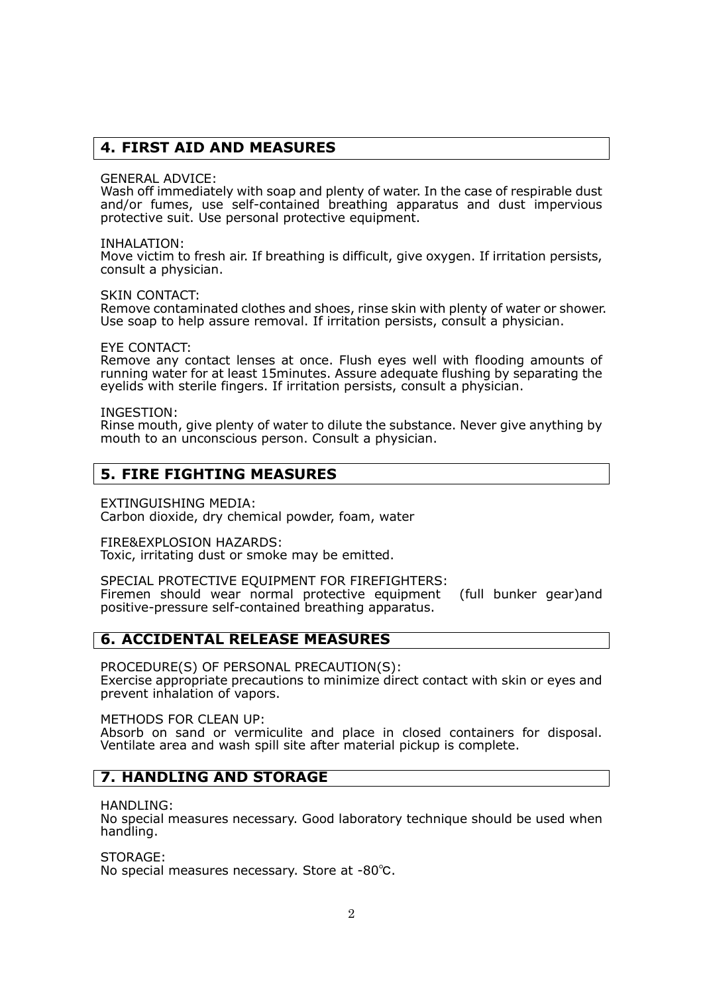#### **4. FIRST AID AND MEASURES**

GENERAL ADVICE:

Wash off immediately with soap and plenty of water. In the case of respirable dust and/or fumes, use self-contained breathing apparatus and dust impervious protective suit. Use personal protective equipment.

INHALATION:

Move victim to fresh air. If breathing is difficult, give oxygen. If irritation persists, consult a physician.

SKIN CONTACT:

Remove contaminated clothes and shoes, rinse skin with plenty of water or shower. Use soap to help assure removal. If irritation persists, consult a physician.

EYE CONTACT:

Remove any contact lenses at once. Flush eyes well with flooding amounts of running water for at least 15minutes. Assure adequate flushing by separating the eyelids with sterile fingers. If irritation persists, consult a physician.

INGESTION:

Rinse mouth, give plenty of water to dilute the substance. Never give anything by mouth to an unconscious person. Consult a physician.

### **5. FIRE FIGHTING MEASURES**

EXTINGUISHING MEDIA: Carbon dioxide, dry chemical powder, foam, water

FIRE&EXPLOSION HAZARDS: Toxic, irritating dust or smoke may be emitted.

SPECIAL PROTECTIVE EQUIPMENT FOR FIREFIGHTERS: Firemen should wear normal protective equipment (full bunker gear)and positive-pressure self-contained breathing apparatus.

#### **6. ACCIDENTAL RELEASE MEASURES**

PROCEDURE(S) OF PERSONAL PRECAUTION(S): Exercise appropriate precautions to minimize direct contact with skin or eyes and prevent inhalation of vapors.

METHODS FOR CLEAN UP:

Absorb on sand or vermiculite and place in closed containers for disposal. Ventilate area and wash spill site after material pickup is complete.

#### **7. HANDLING AND STORAGE**

HANDLING:

No special measures necessary. Good laboratory technique should be used when handling.

STORAGE:

No special measures necessary. Store at -80℃.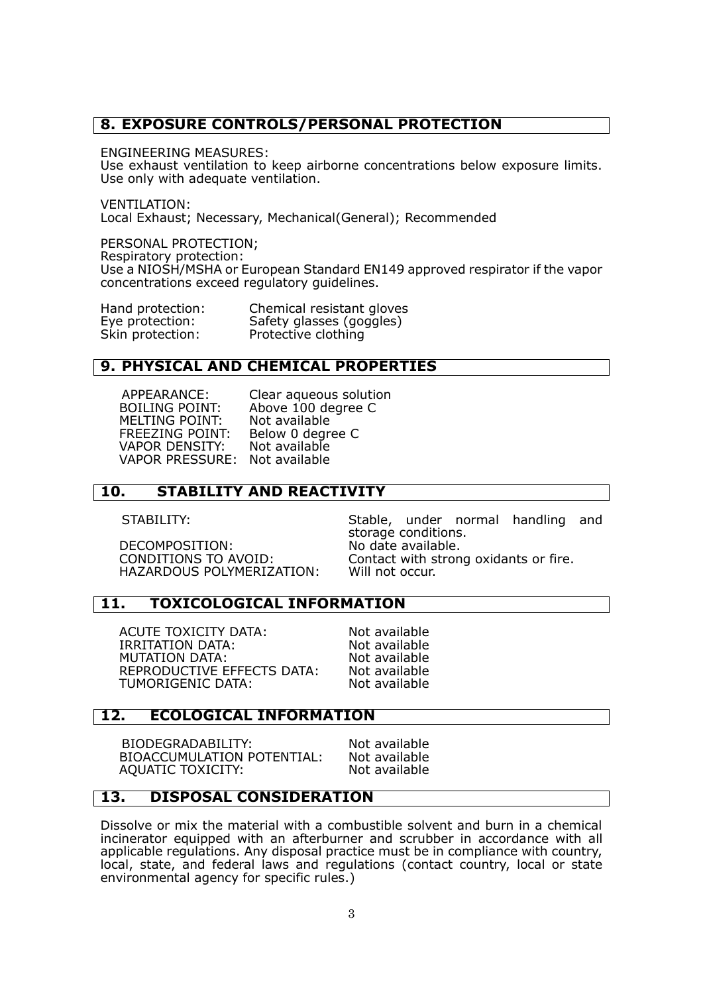#### **8. EXPOSURE CONTROLS/PERSONAL PROTECTION**

ENGINEERING MEASURES:

Use exhaust ventilation to keep airborne concentrations below exposure limits. Use only with adequate ventilation.

VENTILATION: Local Exhaust; Necessary, Mechanical(General); Recommended

PERSONAL PROTECTION;

Respiratory protection:

Use a NIOSH/MSHA or European Standard EN149 approved respirator if the vapor concentrations exceed regulatory guidelines.

Hand protection: Chemical resistant gloves<br>
Eye protection: Safety glasses (goggles) Safety glasses (goggles) Skin protection: Protective clothing

#### **9. PHYSICAL AND CHEMICAL PROPERTIES**

**MELTING POINT:**  FREEZING POINT: Below 0 degree C VAPOR DENSITY: Not available VAPOR PRESSURE:

APPEARANCE: Clear aqueous solution<br>BOILING POINT: Above 100 degree C Above 100 degree C<br>Not available

### **10. STABILITY AND REACTIVITY**

DECOMPOSITION: No date available. HAZARDOUS POLYMERIZATION:

STABILITY: Stable, under normal handling and storage conditions. CONDITIONS TO AVOID: Contact with strong oxidants or fire.<br>HAZARDOUS POLYMERIZATION: Will not occur.

#### **11. TOXICOLOGICAL INFORMATION**

ACUTE TOXICITY DATA: Not available IRRITATION DATA: Not available MUTATION DATA: Not available REPRODUCTIVE EFFECTS DATA: Not available TUMORIGENIC DATA: Not available

#### **12. ECOLOGICAL INFORMATION**

BIODEGRADABILITY: Not available BIOACCUMULATION POTENTIAL: Not available AQUATIC TOXICITY:

### **13. DISPOSAL CONSIDERATION**

Dissolve or mix the material with a combustible solvent and burn in a chemical incinerator equipped with an afterburner and scrubber in accordance with all applicable regulations. Any disposal practice must be in compliance with country, local, state, and federal laws and regulations (contact country, local or state environmental agency for specific rules.)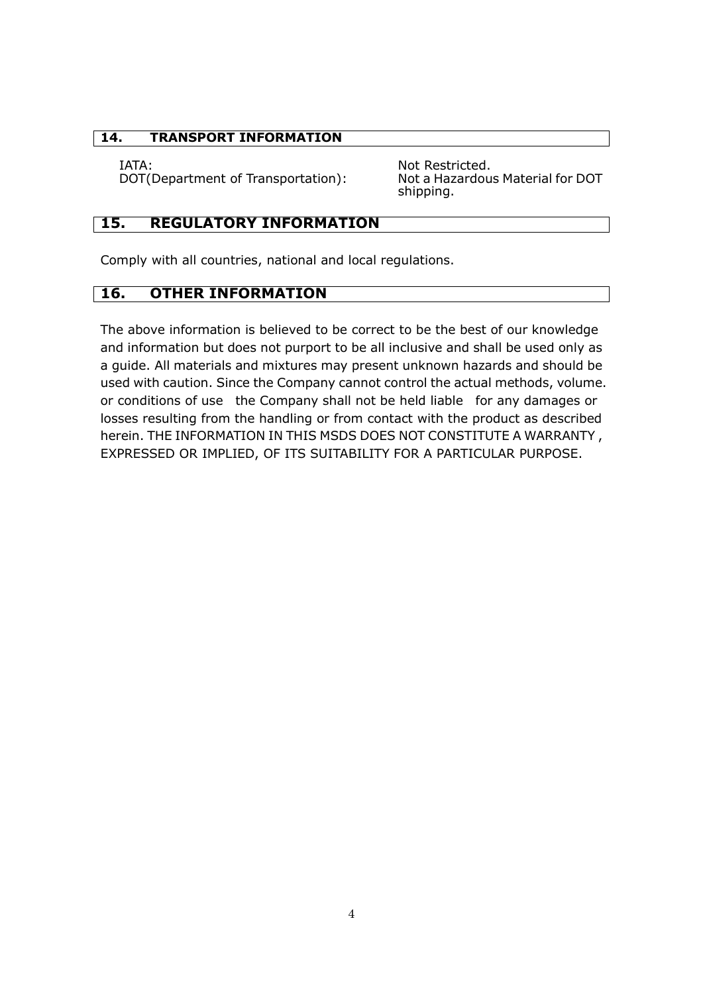#### **14. TRANSPORT INFORMATION**

DOT(Department of Transportation):

IATA:<br>DOT(Department of Transportation): Not a Hazardous Material for DOT shipping.

## **15. REGULATORY INFORMATION**

Comply with all countries, national and local regulations.

## **16. OTHER INFORMATION**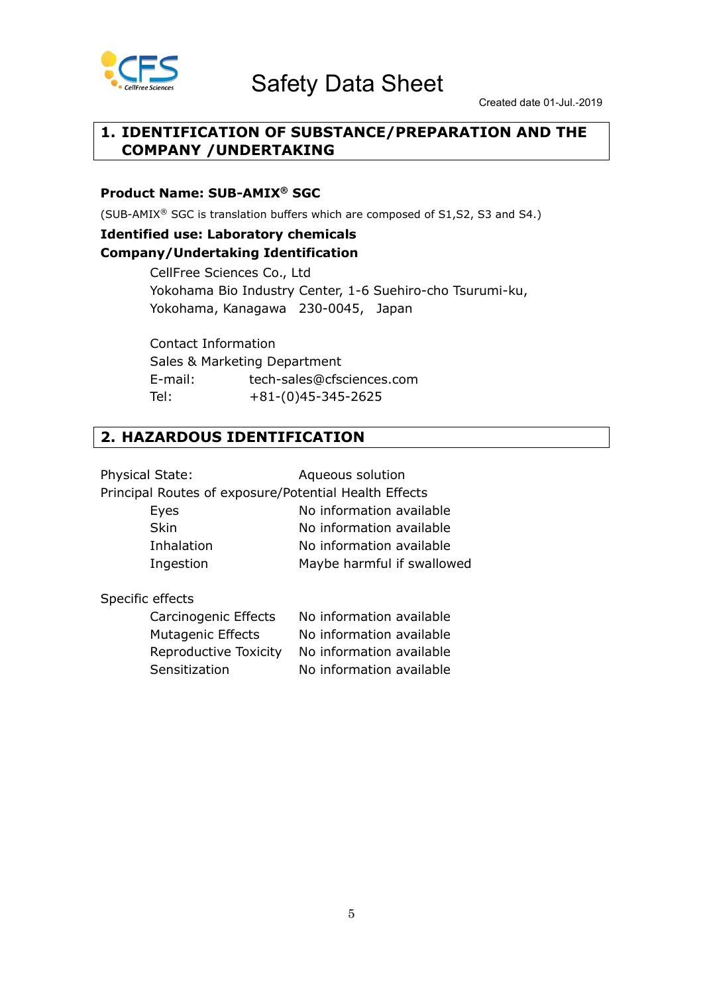

#### **Product Name: SUB-AMIX® SGC**

(SUB-AMIX® SGC is translation buffers which are composed of S1,S2, S3 and S4.)

### **Identified use: Laboratory chemicals Company/Undertaking Identification**

CellFree Sciences Co., Ltd Yokohama Bio Industry Center, 1-6 Suehiro-cho Tsurumi-ku, Yokohama, Kanagawa 230-0045, Japan

Contact Information Sales & Marketing Department E-mail: tech-sales@cfsciences.com Tel: +81-(0)45-345-2625

## **2. HAZARDOUS IDENTIFICATION**

| Physical State: | Aqueous solution                                      |
|-----------------|-------------------------------------------------------|
|                 | Principal Routes of exposure/Potential Health Effects |
| Eyes            | No information available                              |
| <b>Skin</b>     | No information available                              |
| Inhalation      | No information available                              |
| Ingestion       | Maybe harmful if swallowed                            |
|                 |                                                       |

#### Specific effects

| Carcinogenic Effects     | No information available |
|--------------------------|--------------------------|
| <b>Mutagenic Effects</b> | No information available |
| Reproductive Toxicity    | No information available |
| Sensitization            | No information available |
|                          |                          |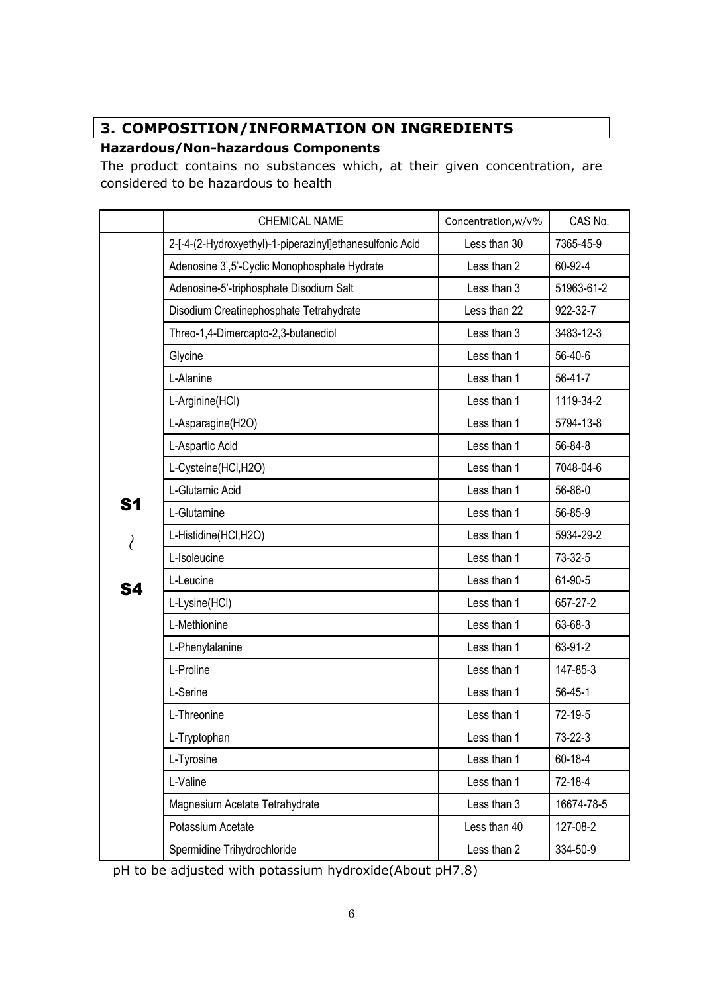## **3. COMPOSITION/INFORMATION ON INGREDIENTS**

### **Hazardous/Non-hazardous Components**

The product contains no substances which, at their given concentration, are considered to be hazardous to health

|           | <b>CHEMICAL NAME</b>                                     | Concentration, w/v% | CAS No.       |
|-----------|----------------------------------------------------------|---------------------|---------------|
|           | 2-[-4-(2-Hydroxyethyl)-1-piperazinyl]ethanesulfonic Acid | Less than 30        | 7365-45-9     |
|           | Adenosine 3',5'-Cyclic Monophosphate Hydrate             | Less than 2         | 60-92-4       |
|           | Adenosine-5'-triphosphate Disodium Salt                  | Less than 3         | 51963-61-2    |
|           | Disodium Creatinephosphate Tetrahydrate                  | Less than 22        | 922-32-7      |
|           | Threo-1,4-Dimercapto-2,3-butanediol                      | Less than 3         | 3483-12-3     |
|           | Glycine                                                  | Less than 1         | 56-40-6       |
|           | L-Alanine                                                | Less than 1         | 56-41-7       |
|           | L-Arginine(HCl)                                          | Less than 1         | 1119-34-2     |
|           | L-Asparagine(H2O)                                        | Less than 1         | 5794-13-8     |
|           | L-Aspartic Acid                                          | Less than 1         | 56-84-8       |
|           | L-Cysteine(HCl,H2O)                                      | Less than 1         | 7048-04-6     |
|           | L-Glutamic Acid                                          | Less than 1         | 56-86-0       |
| <b>S1</b> | L-Glutamine                                              | Less than 1         | 56-85-9       |
| ∖         | L-Histidine(HCl,H2O)                                     | Less than 1         | 5934-29-2     |
|           | L-Isoleucine                                             | Less than 1         | 73-32-5       |
| <b>S4</b> | L-Leucine                                                | Less than 1         | 61-90-5       |
|           | L-Lysine(HCl)                                            | Less than 1         | 657-27-2      |
|           | L-Methionine                                             | Less than 1         | 63-68-3       |
|           | L-Phenylalanine                                          | Less than 1         | 63-91-2       |
|           | L-Proline                                                | Less than 1         | 147-85-3      |
|           | L-Serine                                                 | Less than 1         | $56 - 45 - 1$ |
|           | L-Threonine                                              | Less than 1         | 72-19-5       |
|           | L-Tryptophan                                             | Less than 1         | 73-22-3       |
|           | L-Tyrosine                                               | Less than 1         | 60-18-4       |
|           | L-Valine                                                 | Less than 1         | 72-18-4       |
|           | Magnesium Acetate Tetrahydrate                           | Less than 3         | 16674-78-5    |
|           | Potassium Acetate                                        | Less than 40        | 127-08-2      |
|           | Spermidine Trihydrochloride                              | Less than 2         | 334-50-9      |

pH to be adjusted with potassium hydroxide(About pH7.8)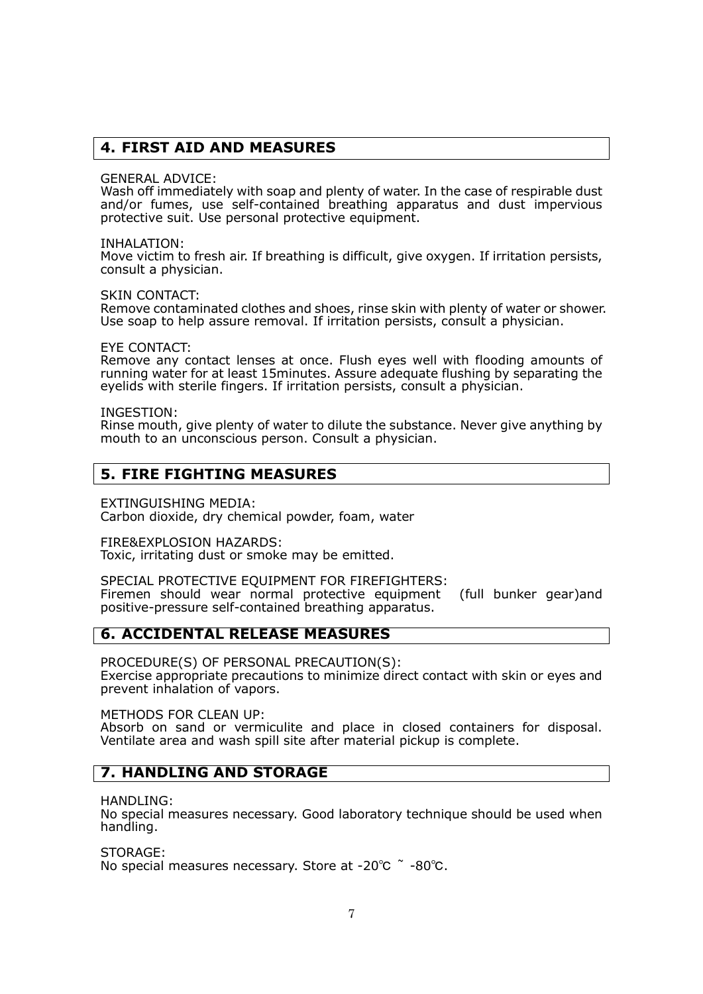#### **4. FIRST AID AND MEASURES**

GENERAL ADVICE:

Wash off immediately with soap and plenty of water. In the case of respirable dust and/or fumes, use self-contained breathing apparatus and dust impervious protective suit. Use personal protective equipment.

INHALATION:

Move victim to fresh air. If breathing is difficult, give oxygen. If irritation persists, consult a physician.

SKIN CONTACT:

Remove contaminated clothes and shoes, rinse skin with plenty of water or shower. Use soap to help assure removal. If irritation persists, consult a physician.

EYE CONTACT:

Remove any contact lenses at once. Flush eyes well with flooding amounts of running water for at least 15minutes. Assure adequate flushing by separating the eyelids with sterile fingers. If irritation persists, consult a physician.

INGESTION:

Rinse mouth, give plenty of water to dilute the substance. Never give anything by mouth to an unconscious person. Consult a physician.

### **5. FIRE FIGHTING MEASURES**

EXTINGUISHING MEDIA: Carbon dioxide, dry chemical powder, foam, water

FIRE&EXPLOSION HAZARDS: Toxic, irritating dust or smoke may be emitted.

SPECIAL PROTECTIVE EQUIPMENT FOR FIREFIGHTERS: Firemen should wear normal protective equipment (full bunker gear)and positive-pressure self-contained breathing apparatus.

#### **6. ACCIDENTAL RELEASE MEASURES**

PROCEDURE(S) OF PERSONAL PRECAUTION(S): Exercise appropriate precautions to minimize direct contact with skin or eyes and prevent inhalation of vapors.

METHODS FOR CLEAN UP:

Absorb on sand or vermiculite and place in closed containers for disposal. Ventilate area and wash spill site after material pickup is complete.

#### **7. HANDLING AND STORAGE**

HANDLING:

No special measures necessary. Good laboratory technique should be used when handling.

STORAGE:

No special measures necessary. Store at -20℃ ~ -80℃.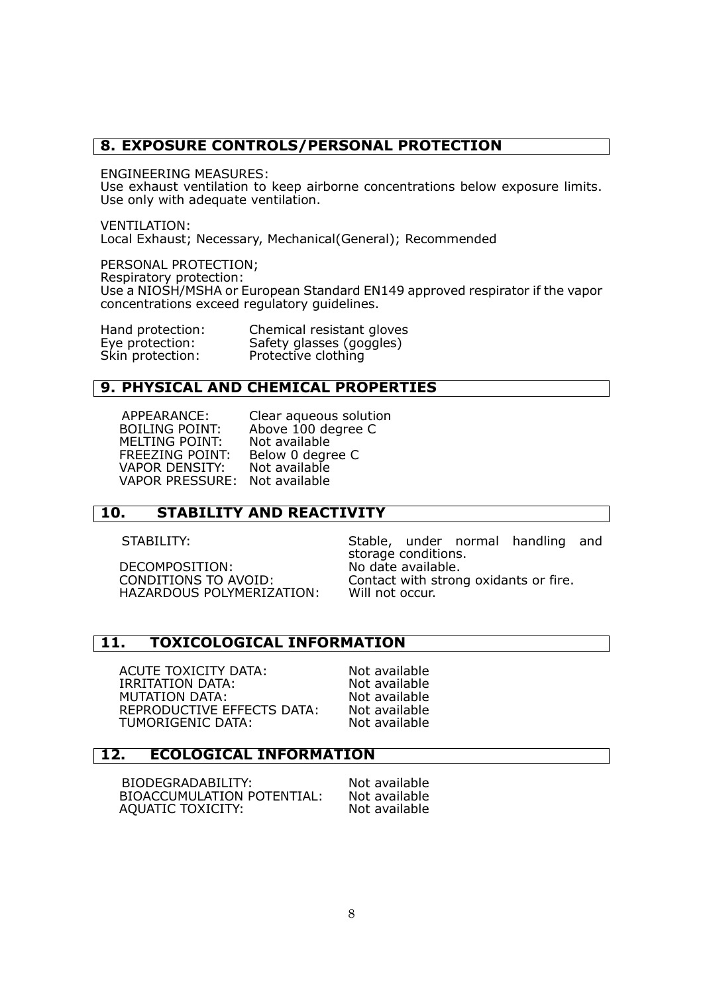#### **8. EXPOSURE CONTROLS/PERSONAL PROTECTION**

ENGINEERING MEASURES:

Use exhaust ventilation to keep airborne concentrations below exposure limits. Use only with adequate ventilation.

VENTILATION: Local Exhaust; Necessary, Mechanical(General); Recommended

PERSONAL PROTECTION;

Respiratory protection:

Use a NIOSH/MSHA or European Standard EN149 approved respirator if the vapor concentrations exceed regulatory guidelines.

| Hand protection: | Chemical resistant gloves |  |
|------------------|---------------------------|--|
| Eye protection:  | Safety glasses (goggles)  |  |
| Skin protection: | Protective clothing       |  |

#### **9. PHYSICAL AND CHEMICAL PROPERTIES**

MELTING POINT: VAPOR DENSITY: Not available VAPOR PRESSURE:

APPEARANCE: Clear aqueous solution BOILING POINT: Above 100 degree C<br>MELTING POINT: Not available FREEZING POINT: Below 0 degree C

#### **10. STABILITY AND REACTIVITY**

DECOMPOSITION: No date available.<br>CONDITIONS TO AVOID: Contact with stron HAZARDOUS POLYMERIZATION: Will not occur.

STABILITY: Stable, under normal handling and storage conditions. Contact with strong oxidants or fire.

### **11. TOXICOLOGICAL INFORMATION**

ACUTE TOXICITY DATA: Not available<br>
IRRITATION DATA: Not available IRRITATION DATA: Not available<br>MUTATION DATA: Not available MUTATION DATA: Not available<br>REPRODUCTIVE EFFECTS DATA: Not available REPRODUCTIVE EFFECTS DATA: TUMORIGENIC DATA: Not available

#### **12. ECOLOGICAL INFORMATION**

BIODEGRADABILITY: Not available<br>BIOACCUMULATION POTENTIAL: Not available BIOACCUMULATION POTENTIAL: Not available AQUATIC TOXICITY: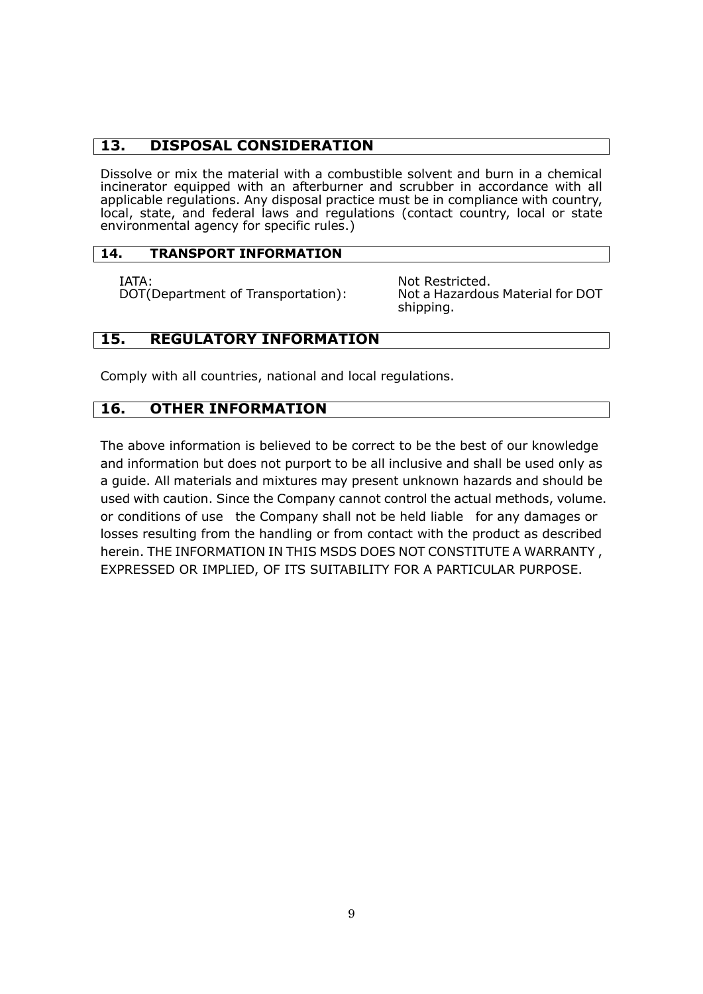## **13. DISPOSAL CONSIDERATION**

Dissolve or mix the material with a combustible solvent and burn in a chemical incinerator equipped with an afterburner and scrubber in accordance with all applicable regulations. Any disposal practice must be in compliance with country, local, state, and federal laws and regulations (contact country, local or state environmental agency for specific rules.)

#### **14. TRANSPORT INFORMATION**

DOT(Department of Transportation):

IATA:<br>DOT(Department of Transportation): Not a Hazardous Material for DOT shipping.

## **15. REGULATORY INFORMATION**

Comply with all countries, national and local regulations.

## **16. OTHER INFORMATION**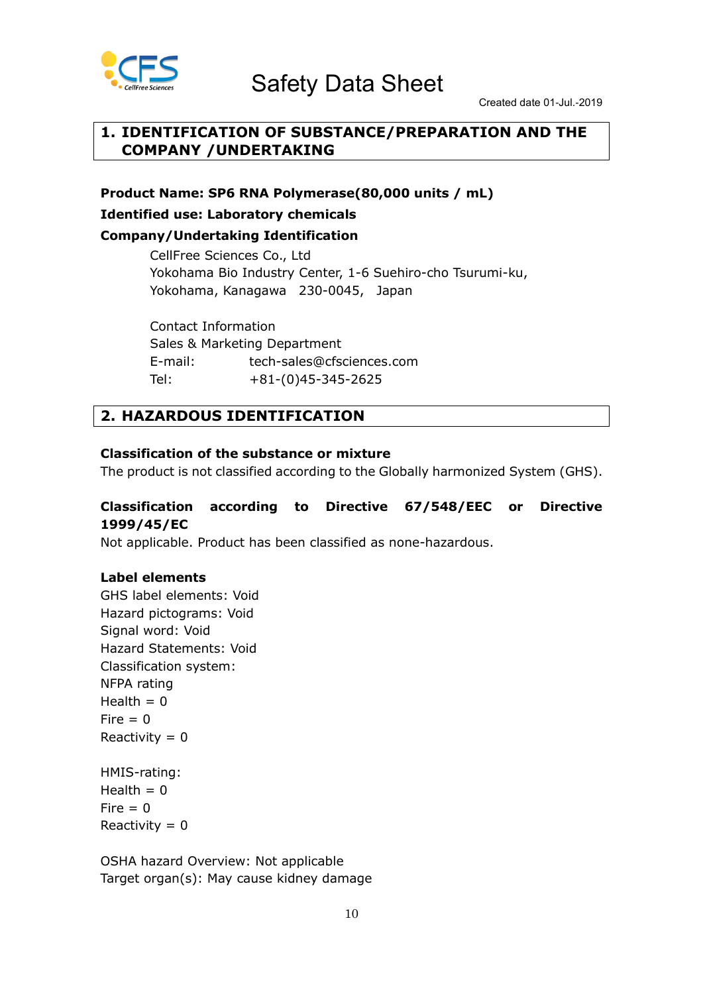

# **Product Name: SP6 RNA Polymerase(80,000 units / mL)**

#### **Identified use: Laboratory chemicals**

#### **Company/Undertaking Identification**

CellFree Sciences Co., Ltd Yokohama Bio Industry Center, 1-6 Suehiro-cho Tsurumi-ku, Yokohama, Kanagawa 230-0045, Japan

Contact Information Sales & Marketing Department E-mail: tech-sales@cfsciences.com Tel: +81-(0)45-345-2625

## **2. HAZARDOUS IDENTIFICATION**

#### **Classification of the substance or mixture**

The product is not classified according to the Globally harmonized System (GHS).

#### **Classification according to Directive 67/548/EEC or Directive 1999/45/EC**

Not applicable. Product has been classified as none-hazardous.

#### **Label elements**

GHS label elements: Void Hazard pictograms: Void Signal word: Void Hazard Statements: Void Classification system: NFPA rating Health  $= 0$  $Fire = 0$ Reactivity  $= 0$ 

HMIS-rating: Health  $= 0$  $Fire = 0$ Reactivity  $= 0$ 

OSHA hazard Overview: Not applicable Target organ(s): May cause kidney damage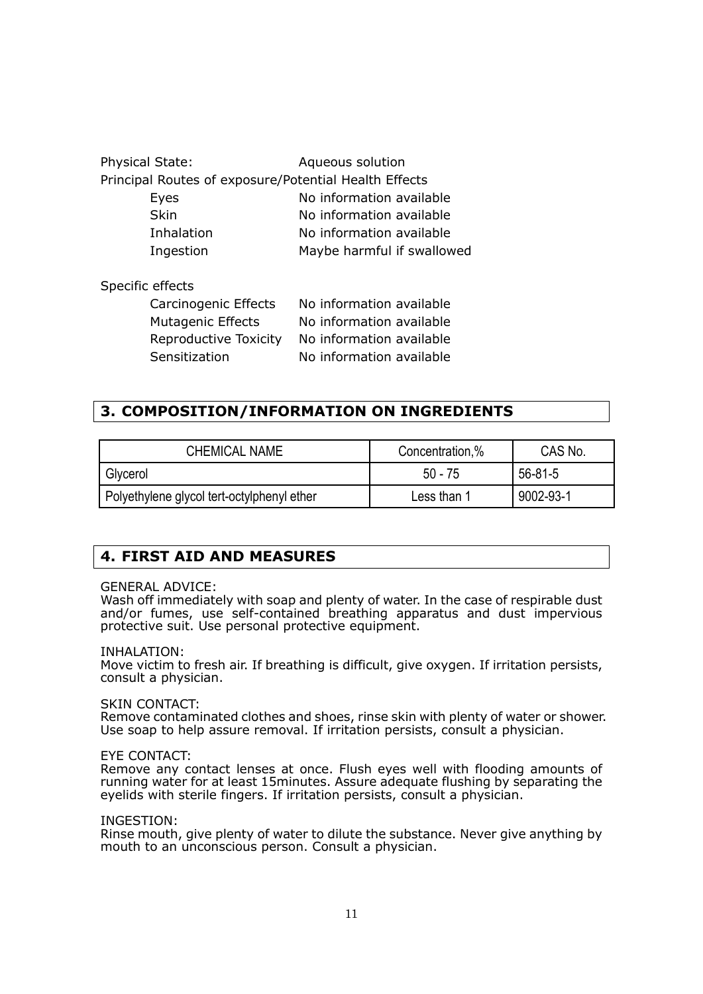| <b>Physical State:</b> | Aqueous solution                                      |
|------------------------|-------------------------------------------------------|
|                        | Principal Routes of exposure/Potential Health Effects |
| Eyes                   | No information available                              |
| Skin                   | No information available                              |
| Inhalation             | No information available                              |
| Ingestion              | Maybe harmful if swallowed                            |
|                        |                                                       |

#### Specific effects

| Carcinogenic Effects     | No information available |
|--------------------------|--------------------------|
| <b>Mutagenic Effects</b> | No information available |
| Reproductive Toxicity    | No information available |
| Sensitization            | No information available |

### **3. COMPOSITION/INFORMATION ON INGREDIENTS**

| <b>CHEMICAL NAME</b>                       | Concentration,% | CAS No.   |
|--------------------------------------------|-----------------|-----------|
| Glycerol                                   | $50 - 75$       | 56-81-5   |
| Polyethylene glycol tert-octylphenyl ether | Less than 1     | 9002-93-1 |

## **4. FIRST AID AND MEASURES**

#### GENERAL ADVICE:

Wash off immediately with soap and plenty of water. In the case of respirable dust and/or fumes, use self-contained breathing apparatus and dust impervious protective suit. Use personal protective equipment. Ĩ

INHALATION:

Move victim to fresh air. If breathing is difficult, give oxygen. If irritation persists, consult a physician.

SKIN CONTACT:

Remove contaminated clothes and shoes, rinse skin with plenty of water or shower. Use soap to help assure removal. If irritation persists, consult a physician.

#### EYE CONTACT:

Remove any contact lenses at once. Flush eyes well with flooding amounts of running water for at least 15minutes. Assure adequate flushing by separating the eyelids with sterile fingers. If irritation persists, consult a physician.

INGESTION:

Rinse mouth, give plenty of water to dilute the substance. Never give anything by mouth to an unconscious person. Consult a physician.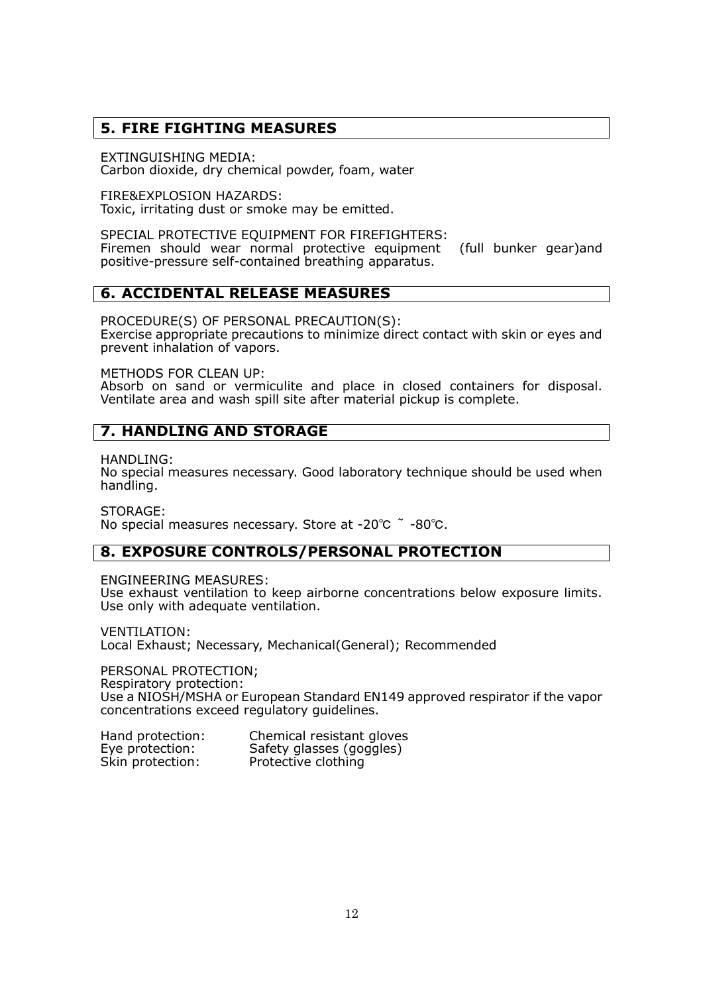## **5. FIRE FIGHTING MEASURES**

EXTINGUISHING MEDIA:

Carbon dioxide, dry chemical powder, foam, water

FIRE&EXPLOSION HAZARDS:

Toxic, irritating dust or smoke may be emitted.

SPECIAL PROTECTIVE EQUIPMENT FOR FIREFIGHTERS: Firemen should wear normal protective equipment (full bunker gear)and positive-pressure self-contained breathing apparatus.

## **6. ACCIDENTAL RELEASE MEASURES**

PROCEDURE(S) OF PERSONAL PRECAUTION(S): Exercise appropriate precautions to minimize direct contact with skin or eyes and prevent inhalation of vapors.

METHODS FOR CLEAN UP:

Absorb on sand or vermiculite and place in closed containers for disposal. Ventilate area and wash spill site after material pickup is complete.

## **7. HANDLING AND STORAGE**

HANDLING:

No special measures necessary. Good laboratory technique should be used when handling.

STORAGE:

No special measures necessary. Store at -20℃ ~ -80℃. :

## **8. EXPOSURE CONTROLS/PERSONAL PROTECTION**

ENGINEERING MEASURES:

Use exhaust ventilation to keep airborne concentrations below exposure limits. Use only with adequate ventilation.

VENTILATION: Local Exhaust; Necessary, Mechanical(General); Recommended

PERSONAL PROTECTION; Respiratory protection: Use a NIOSH/MSHA or European Standard EN149 approved respirator if the vapor concentrations exceed regulatory guidelines.

| Hand protection: | Chemical resistant gloves |
|------------------|---------------------------|
| Eye protection:  | Safety glasses (goggles)  |
| Skin protection: | Protective clothing       |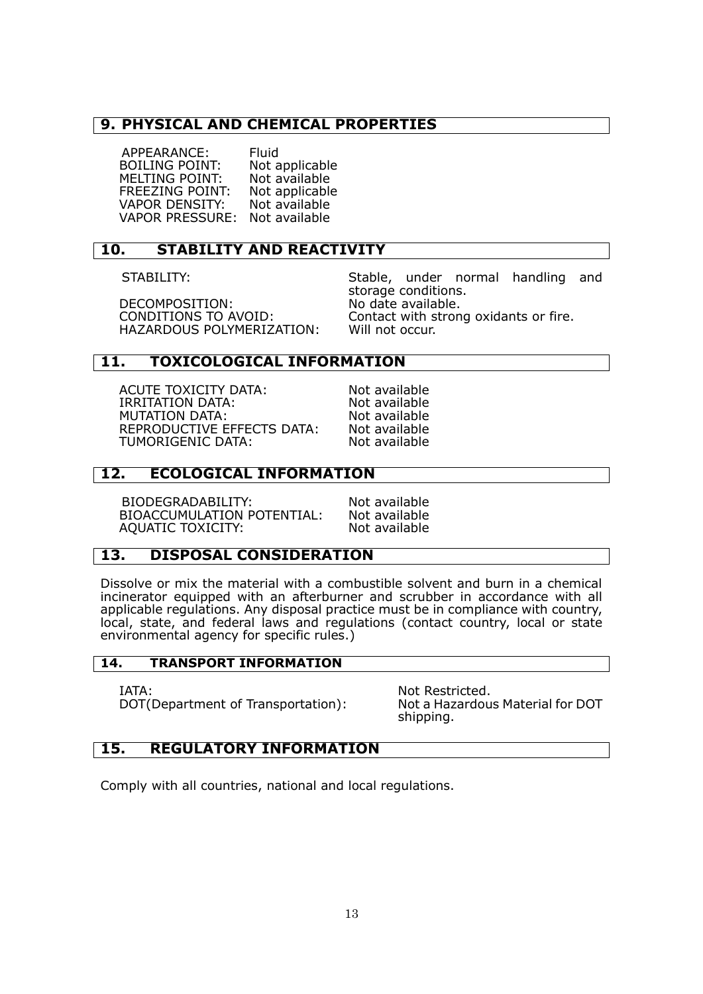### **9. PHYSICAL AND CHEMICAL PROPERTIES**

APPEARANCE: Fluid BOILING POINT: MELTING POINT: Not available FREEZING POINT: Not applicable<br>VAPOR DENSITY: Not available VAPOR DENSITY: VAPOR PRESSURE: Not available

## **10. STABILITY AND REACTIVITY**

DECOMPOSITION: No date available.<br>CONDITIONS TO AVOID: Contact with stron HAZARDOUS POLYMERIZATION: Will not occur.

STABILITY: Stable, under normal handling and storage conditions. Contact with strong oxidants or fire.

### **11. TOXICOLOGICAL INFORMATION**

ACUTE TOXICITY DATA: Not available<br>IRRITATION DATA: Not available IRRITATION DATA: MUTATION DATA: Not available REPRODUCTIVE EFFECTS DATA: Not available<br>TUMORIGENIC DATA: Not available TUMORIGENIC DATA:

### **12. ECOLOGICAL INFORMATION**

BIODEGRADABILITY: Not available<br>BIOACCUMULATION POTENTIAL: Not available BIOACCUMULATION POTENTIAL: AQUATIC TOXICITY: Not available

## **13. DISPOSAL CONSIDERATION**

Dissolve or mix the material with a combustible solvent and burn in a chemical incinerator equipped with an afterburner and scrubber in accordance with all applicable regulations. Any disposal practice must be in compliance with country, local, state, and federal laws and regulations (contact country, local or state environmental agency for specific rules.)

#### **14. TRANSPORT INFORMATION**

DOT(Department of Transportation):

IATA:<br>DOT(Department of Transportation): Not a Hazardous Material for DOT shipping.

#### **15. REGULATORY INFORMATION**

Comply with all countries, national and local regulations.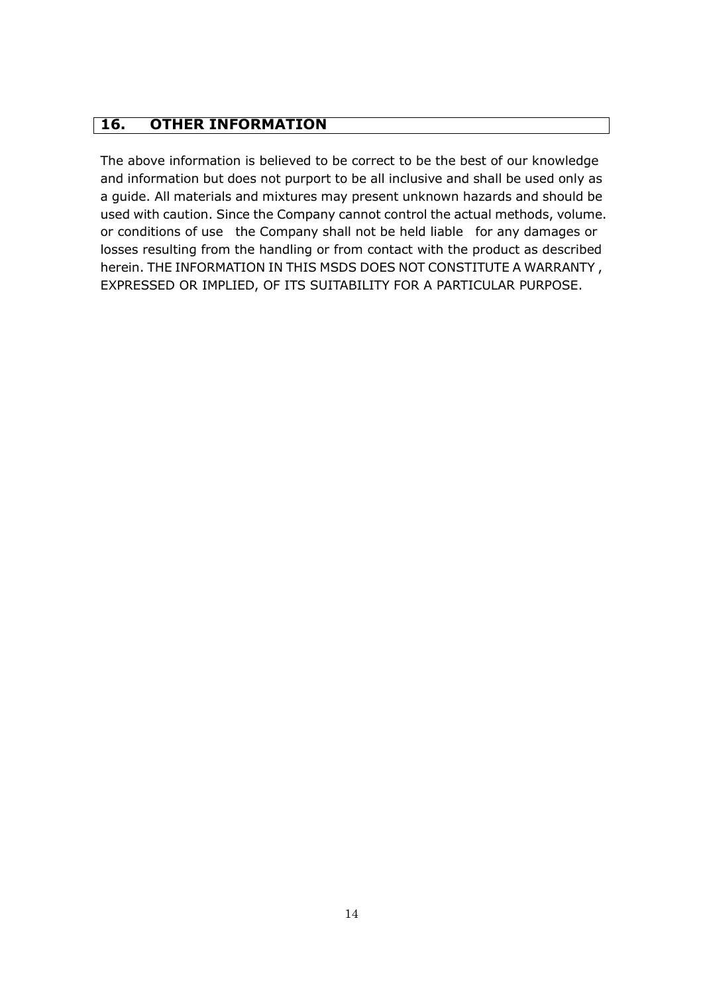## **16. OTHER INFORMATION**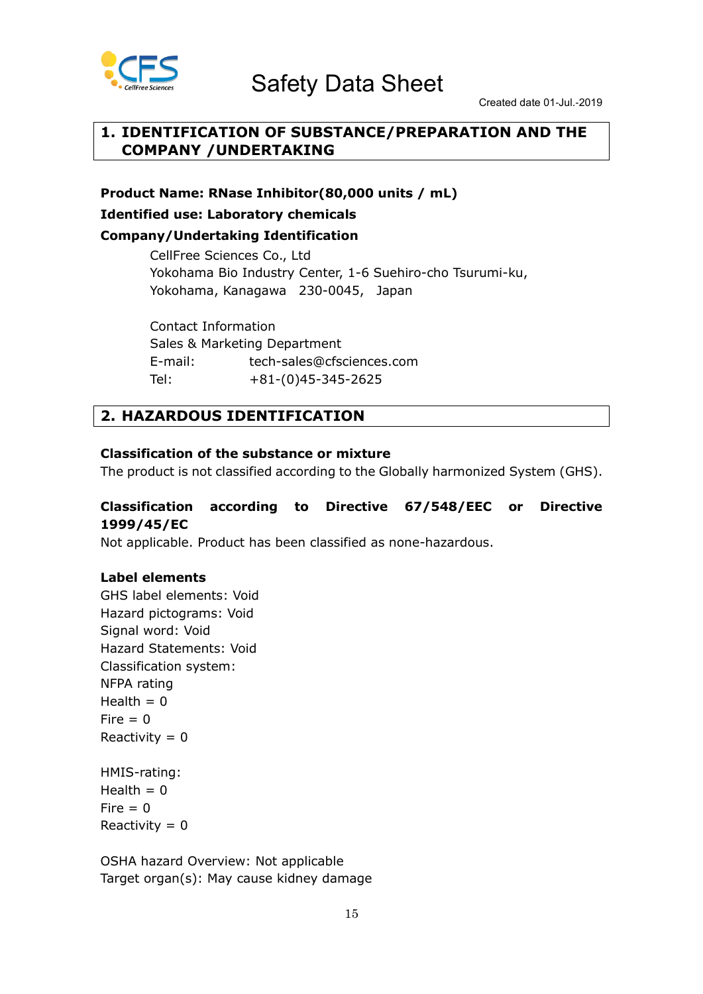

# **Product Name: RNase Inhibitor(80,000 units / mL)**

## **Identified use: Laboratory chemicals**

#### **Company/Undertaking Identification**

CellFree Sciences Co., Ltd Yokohama Bio Industry Center, 1-6 Suehiro-cho Tsurumi-ku, Yokohama, Kanagawa 230-0045, Japan

Contact Information Sales & Marketing Department E-mail: tech-sales@cfsciences.com Tel: +81-(0)45-345-2625

## **2. HAZARDOUS IDENTIFICATION**

#### **Classification of the substance or mixture**

The product is not classified according to the Globally harmonized System (GHS).

#### **Classification according to Directive 67/548/EEC or Directive 1999/45/EC**

Not applicable. Product has been classified as none-hazardous.

#### **Label elements**

GHS label elements: Void Hazard pictograms: Void Signal word: Void Hazard Statements: Void Classification system: NFPA rating Health  $= 0$  $Fire = 0$ Reactivity  $= 0$ 

HMIS-rating: Health  $= 0$  $Fire = 0$ Reactivity  $= 0$ 

OSHA hazard Overview: Not applicable Target organ(s): May cause kidney damage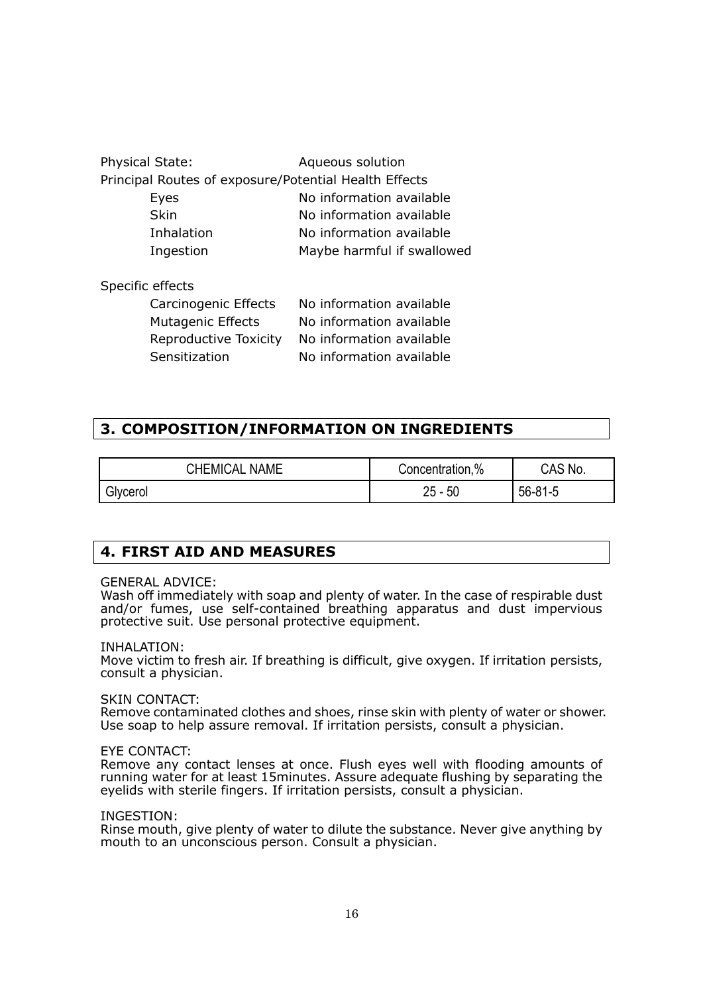| Physical State:                                       | Aqueous solution           |
|-------------------------------------------------------|----------------------------|
| Principal Routes of exposure/Potential Health Effects |                            |
| Eyes                                                  | No information available   |
| <b>Skin</b>                                           | No information available   |
| Inhalation                                            | No information available   |
| Ingestion                                             | Maybe harmful if swallowed |
| Specific effects                                      |                            |
| Carcinogenic Effects                                  | No information available   |
| <b>Mutagenic Effects</b>                              | No information available   |
| Reproductive Toxicity                                 | No information available   |

## **3. COMPOSITION/INFORMATION ON INGREDIENTS**

Sensitization No information available

| <b>CHEMICAL NAME</b> | Concentration,% | CAS No. |
|----------------------|-----------------|---------|
| Glycerol             | 25 -<br>50      | 56-81-5 |

#### **4. FIRST AID AND MEASURES**

#### GENERAL ADVICE:

Wash off immediately with soap and plenty of water. In the case of respirable dust and/or fumes, use self-contained breathing apparatus and dust impervious protective suit. Use personal protective equipment.

INHALATION:

Move victim to fresh air. If breathing is difficult, give oxygen. If irritation persists, consult a physician.

SKIN CONTACT:

Remove contaminated clothes and shoes, rinse skin with plenty of water or shower. Use soap to help assure removal. If irritation persists, consult a physician.

#### EYE CONTACT:

Remove any contact lenses at once. Flush eyes well with flooding amounts of running water for at least 15minutes. Assure adequate flushing by separating the eyelids with sterile fingers. If irritation persists, consult a physician.

#### INGESTION:

Rinse mouth, give plenty of water to dilute the substance. Never give anything by mouth to an unconscious person. Consult a physician.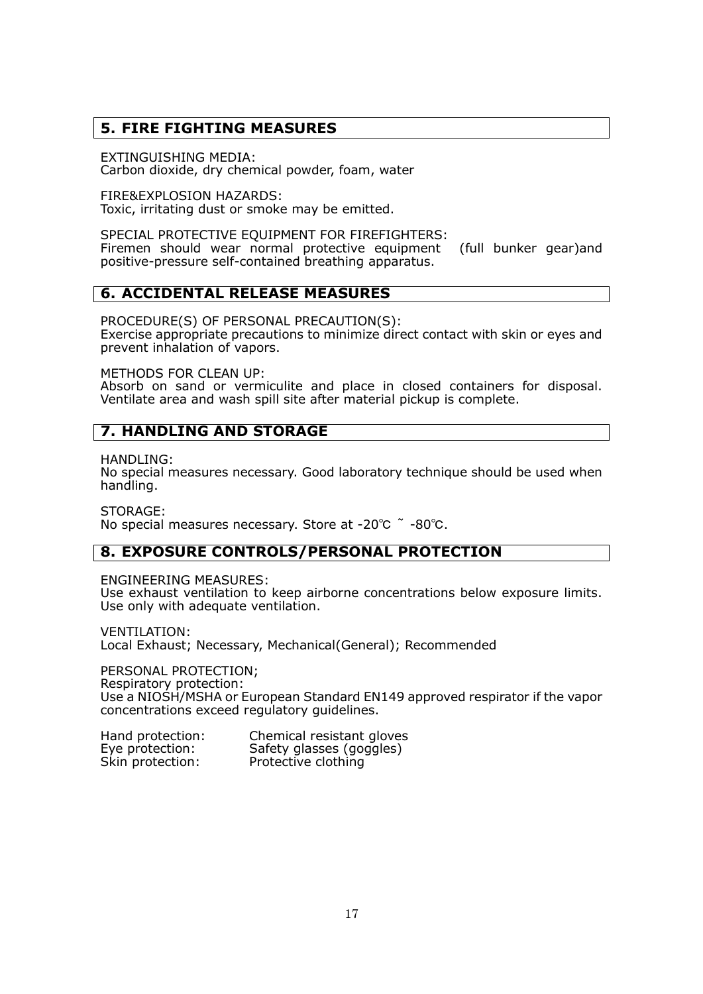## **5. FIRE FIGHTING MEASURES**

EXTINGUISHING MEDIA:

Carbon dioxide, dry chemical powder, foam, water

FIRE&EXPLOSION HAZARDS:

Toxic, irritating dust or smoke may be emitted.

SPECIAL PROTECTIVE EQUIPMENT FOR FIREFIGHTERS: Firemen should wear normal protective equipment (full bunker gear)and positive-pressure self-contained breathing apparatus.

## **6. ACCIDENTAL RELEASE MEASURES**

PROCEDURE(S) OF PERSONAL PRECAUTION(S): Exercise appropriate precautions to minimize direct contact with skin or eyes and prevent inhalation of vapors.

METHODS FOR CLEAN UP:

Absorb on sand or vermiculite and place in closed containers for disposal. Ventilate area and wash spill site after material pickup is complete.

## **7. HANDLING AND STORAGE**

HANDLING:

No special measures necessary. Good laboratory technique should be used when handling.

STORAGE:

No special measures necessary. Store at -20℃ ~ -80℃.

## **8. EXPOSURE CONTROLS/PERSONAL PROTECTION**

ENGINEERING MEASURES:

Use exhaust ventilation to keep airborne concentrations below exposure limits. Use only with adequate ventilation.

VENTILATION: Local Exhaust; Necessary, Mechanical(General); Recommended

PERSONAL PROTECTION; Respiratory protection: Use a NIOSH/MSHA or European Standard EN149 approved respirator if the vapor concentrations exceed regulatory guidelines.

| Hand protection: | Chemical resistant gloves |
|------------------|---------------------------|
| Eye protection:  | Safety glasses (goggles)  |
| Skin protection: | Protective clothing       |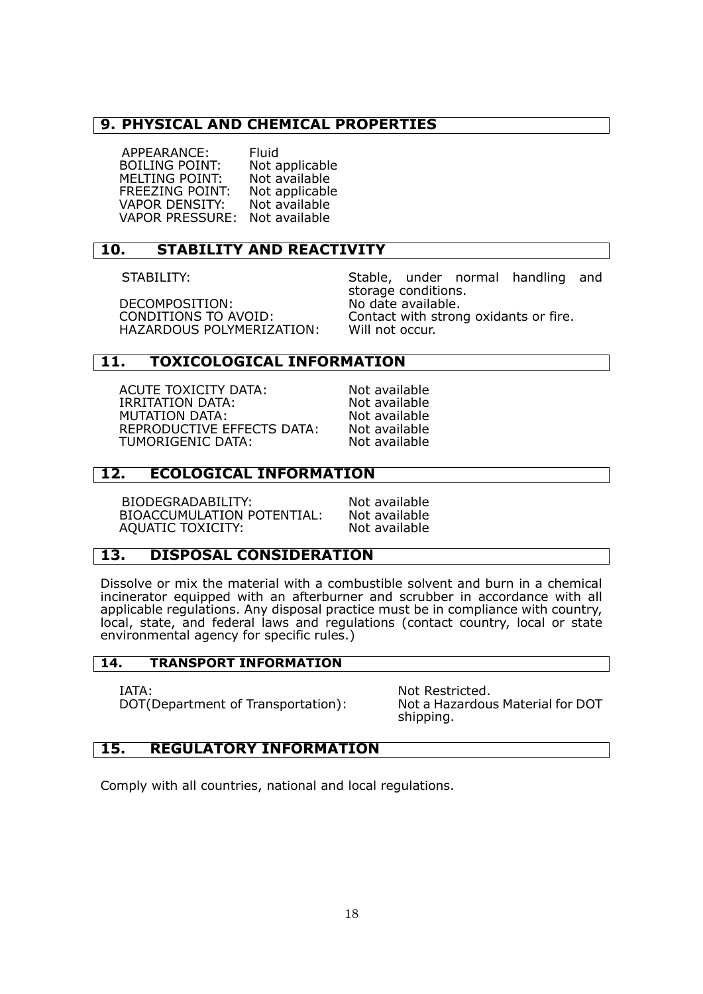### **9. PHYSICAL AND CHEMICAL PROPERTIES**

APPEARANCE: Fluid BOILING POINT: MELTING POINT: Not available FREEZING POINT: Not applicable<br>VAPOR DENSITY: Not available VAPOR DENSITY: VAPOR PRESSURE: Not available

## **10. STABILITY AND REACTIVITY**

DECOMPOSITION: No date available.<br>CONDITIONS TO AVOID: Contact with stron HAZARDOUS POLYMERIZATION: Will not occur.

STABILITY: Stable, under normal handling and storage conditions. Contact with strong oxidants or fire.

### **11. TOXICOLOGICAL INFORMATION**

ACUTE TOXICITY DATA: Not available<br>IRRITATION DATA: Not available IRRITATION DATA: MUTATION DATA: Not available REPRODUCTIVE EFFECTS DATA: Not available<br>TUMORIGENIC DATA: Not available TUMORIGENIC DATA:

### **12. ECOLOGICAL INFORMATION**

BIODEGRADABILITY: Not available<br>BIOACCUMULATION POTENTIAL: Not available BIOACCUMULATION POTENTIAL: AQUATIC TOXICITY: Not available

## **13. DISPOSAL CONSIDERATION**

Dissolve or mix the material with a combustible solvent and burn in a chemical incinerator equipped with an afterburner and scrubber in accordance with all applicable regulations. Any disposal practice must be in compliance with country, local, state, and federal laws and regulations (contact country, local or state environmental agency for specific rules.)

#### **14. TRANSPORT INFORMATION**

DOT(Department of Transportation):

IATA:<br>DOT(Department of Transportation): Not a Hazardous Material for DOT shipping.

#### **15. REGULATORY INFORMATION**

Comply with all countries, national and local regulations.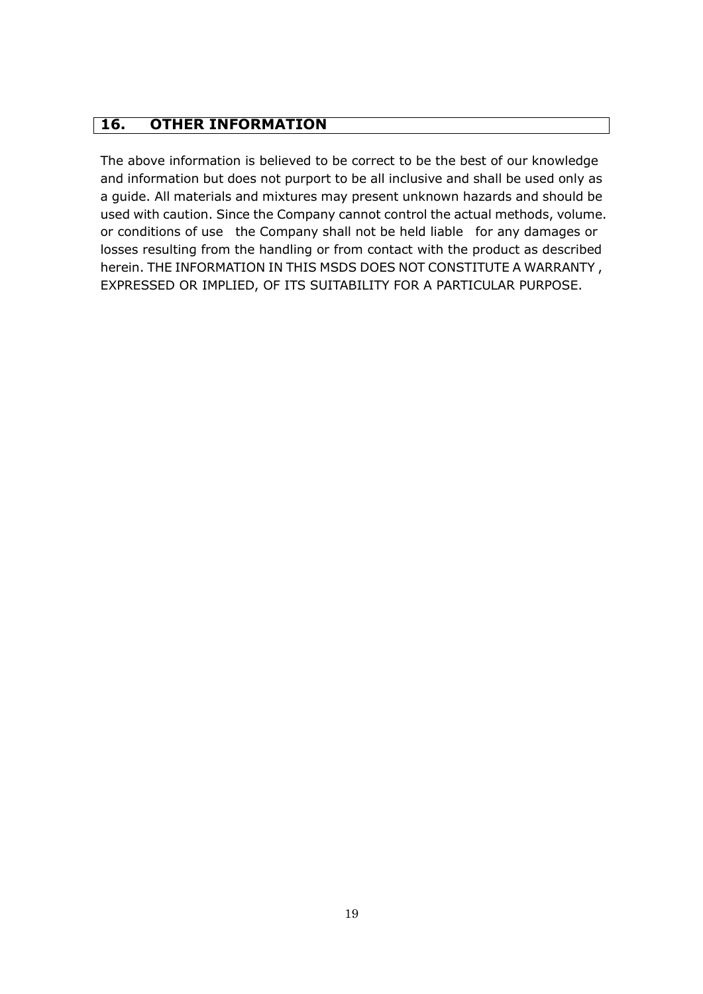## **16. OTHER INFORMATION**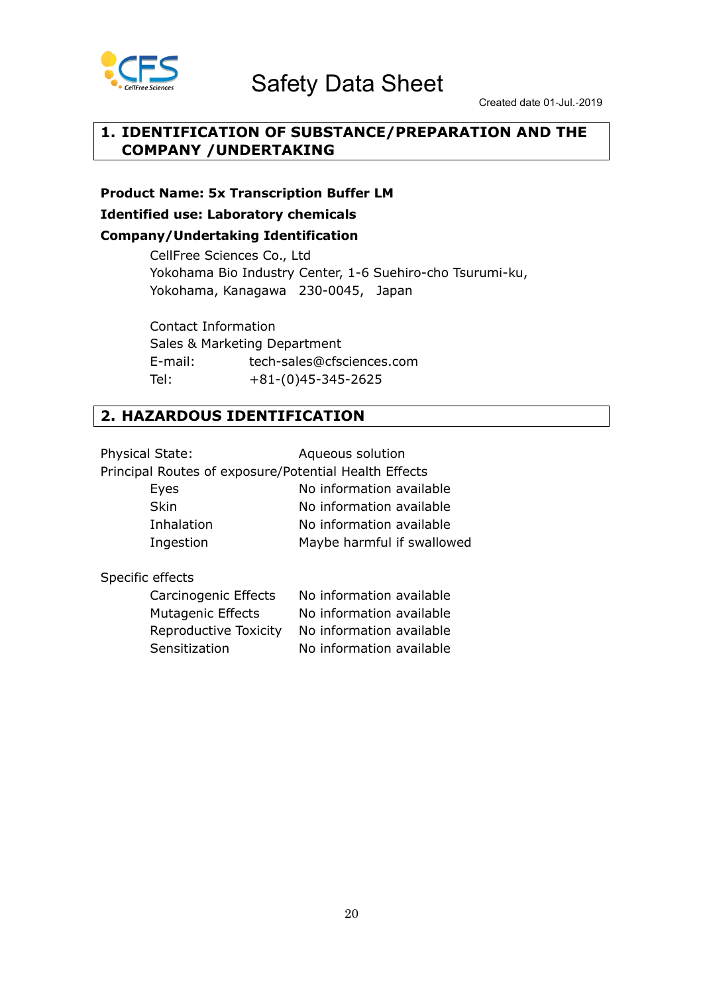

## **Product Name: 5x Transcription Buffer LM Identified use: Laboratory chemicals Company/Undertaking Identification**

CellFree Sciences Co., Ltd Yokohama Bio Industry Center, 1-6 Suehiro-cho Tsurumi-ku, Yokohama, Kanagawa 230-0045, Japan

Contact Information Sales & Marketing Department E-mail: tech-sales@cfsciences.com Tel: +81-(0)45-345-2625

## **2. HAZARDOUS IDENTIFICATION**

| <b>Physical State:</b>                                | Aqueous solution           |
|-------------------------------------------------------|----------------------------|
| Principal Routes of exposure/Potential Health Effects |                            |
| Eyes                                                  | No information available   |
| <b>Skin</b>                                           | No information available   |
| Inhalation                                            | No information available   |
| Ingestion                                             | Maybe harmful if swallowed |
|                                                       |                            |

#### Specific effects

| Carcinogenic Effects     | No information available |
|--------------------------|--------------------------|
| <b>Mutagenic Effects</b> | No information available |
| Reproductive Toxicity    | No information available |
| Sensitization            | No information available |
|                          |                          |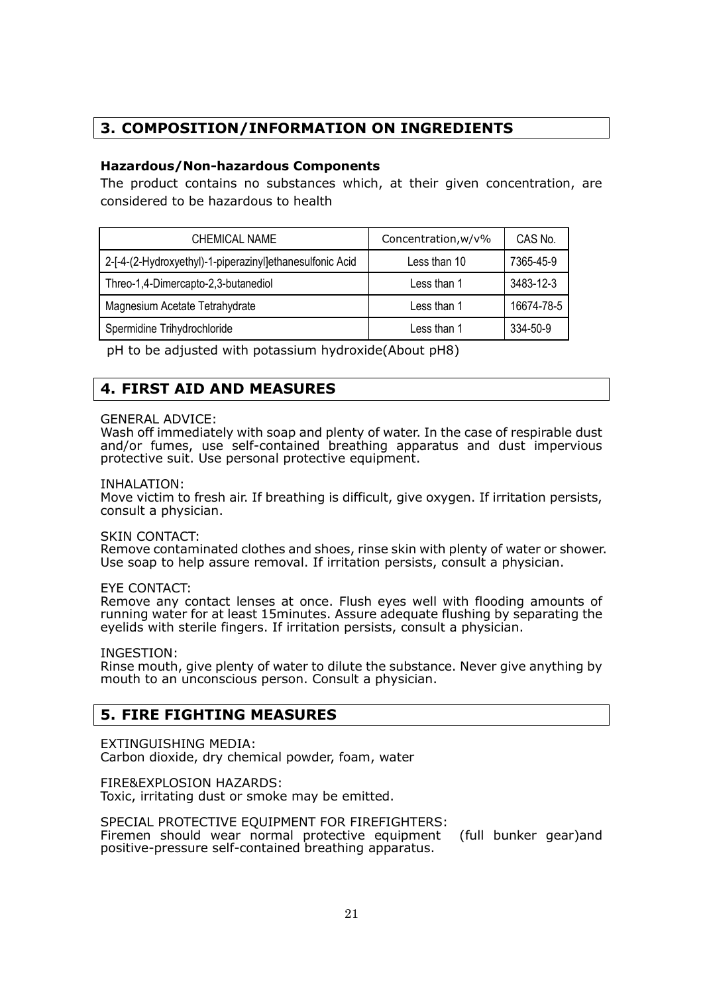## **3. COMPOSITION/INFORMATION ON INGREDIENTS**

#### **Hazardous/Non-hazardous Components**

The product contains no substances which, at their given concentration, are considered to be hazardous to health

| <b>CHEMICAL NAME</b>                                     | Concentration, w/v% | CAS No.    |
|----------------------------------------------------------|---------------------|------------|
| 2-[-4-(2-Hydroxyethyl)-1-piperazinyl]ethanesulfonic Acid | Less than 10        | 7365-45-9  |
| Threo-1,4-Dimercapto-2,3-butanediol                      | Less than 1         | 3483-12-3  |
| Magnesium Acetate Tetrahydrate                           | Less than 1         | 16674-78-5 |
| Spermidine Trihydrochloride                              | Less than 1         | 334-50-9   |

pH to be adjusted with potassium hydroxide(About pH8)

## **4. FIRST AID AND MEASURES**

#### GENERAL ADVICE:

Wash off immediately with soap and plenty of water. In the case of respirable dust and/or fumes, use self-contained breathing apparatus and dust impervious protective suit. Use personal protective equipment.

#### INHALATION:

Move victim to fresh air. If breathing is difficult, give oxygen. If irritation persists, consult a physician.

#### SKIN CONTACT:

Remove contaminated clothes and shoes, rinse skin with plenty of water or shower. Use soap to help assure removal. If irritation persists, consult a physician.

EYE CONTACT:

Remove any contact lenses at once. Flush eyes well with flooding amounts of running water for at least 15minutes. Assure adequate flushing by separating the eyelids with sterile fingers. If irritation persists, consult a physician.

INGESTION:

Rinse mouth, give plenty of water to dilute the substance. Never give anything by mouth to an unconscious person. Consult a physician.

## **5. FIRE FIGHTING MEASURES**

#### EXTINGUISHING MEDIA:

Carbon dioxide, dry chemical powder, foam, water

FIRE&EXPLOSION HAZARDS: Toxic, irritating dust or smoke may be emitted.

SPECIAL PROTECTIVE EQUIPMENT FOR FIREFIGHTERS: Firemen should wear normal protective equipment (full bunker gear)and positive-pressure self-contained breathing apparatus.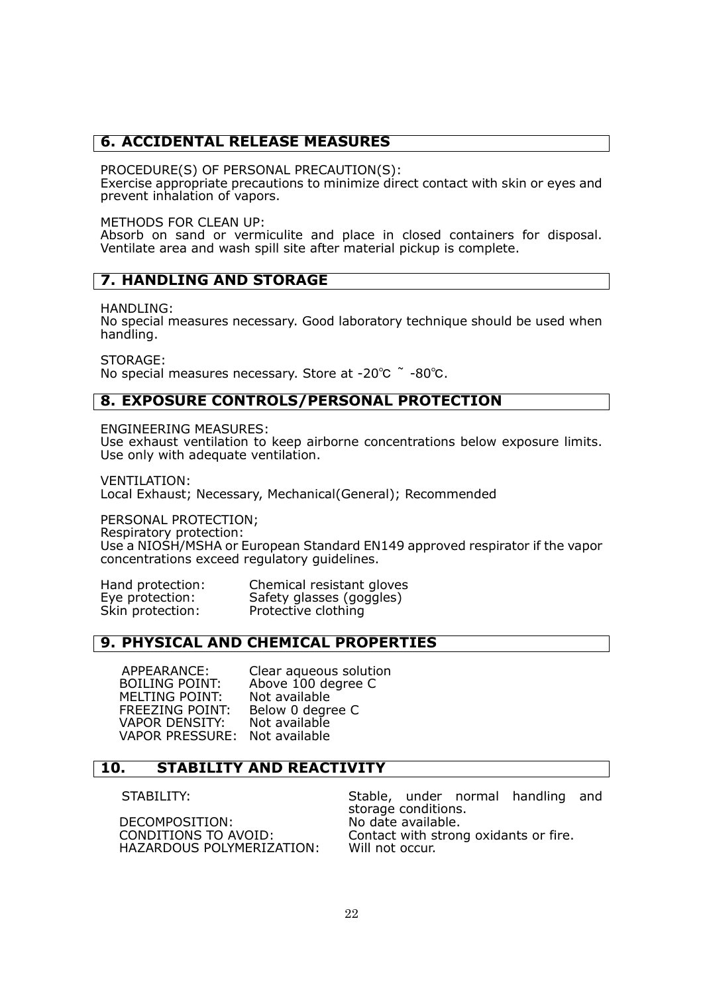## **6. ACCIDENTAL RELEASE MEASURES**

PROCEDURE(S) OF PERSONAL PRECAUTION(S):

Exercise appropriate precautions to minimize direct contact with skin or eyes and prevent inhalation of vapors.

METHODS FOR CLEAN UP:

Absorb on sand or vermiculite and place in closed containers for disposal. Ventilate area and wash spill site after material pickup is complete.

#### **7. HANDLING AND STORAGE**

HANDLING:

No special measures necessary. Good laboratory technique should be used when handling.

STORAGE: No special measures necessary. Store at -20℃ ~ -80℃. :

## **8. EXPOSURE CONTROLS/PERSONAL PROTECTION**

ENGINEERING MEASURES:

Use exhaust ventilation to keep airborne concentrations below exposure limits. Use only with adequate ventilation.

VENTILATION: Local Exhaust; Necessary, Mechanical(General); Recommended

PERSONAL PROTECTION; Respiratory protection: Use a NIOSH/MSHA or European Standard EN149 approved respirator if the vapor concentrations exceed regulatory guidelines.

| Hand protection: | Chemical resistant gloves |
|------------------|---------------------------|
| Eye protection:  | Safety glasses (goggles)  |
| Skin protection: | Protective clothing       |

## **9. PHYSICAL AND CHEMICAL PROPERTIES**

APPEARANCE: Clear aqueous solution BOILING POINT: Above 100 degree C<br>MELTING POINT: Not available MELTING POINT: Not available<br>FREEZING POINT: Below 0 degree C FREEZING POINT: VAPOR DENSITY: Not available VAPOR PRESSURE: Not available

## **10. STABILITY AND REACTIVITY**

DECOMPOSITION: No date available.<br>CONDITIONS TO AVOID: Contact with stron HAZARDOUS POLYMERIZATION:

STABILITY: Stable, under normal handling and storage conditions. Contact with strong oxidants or fire.<br>Will not occur.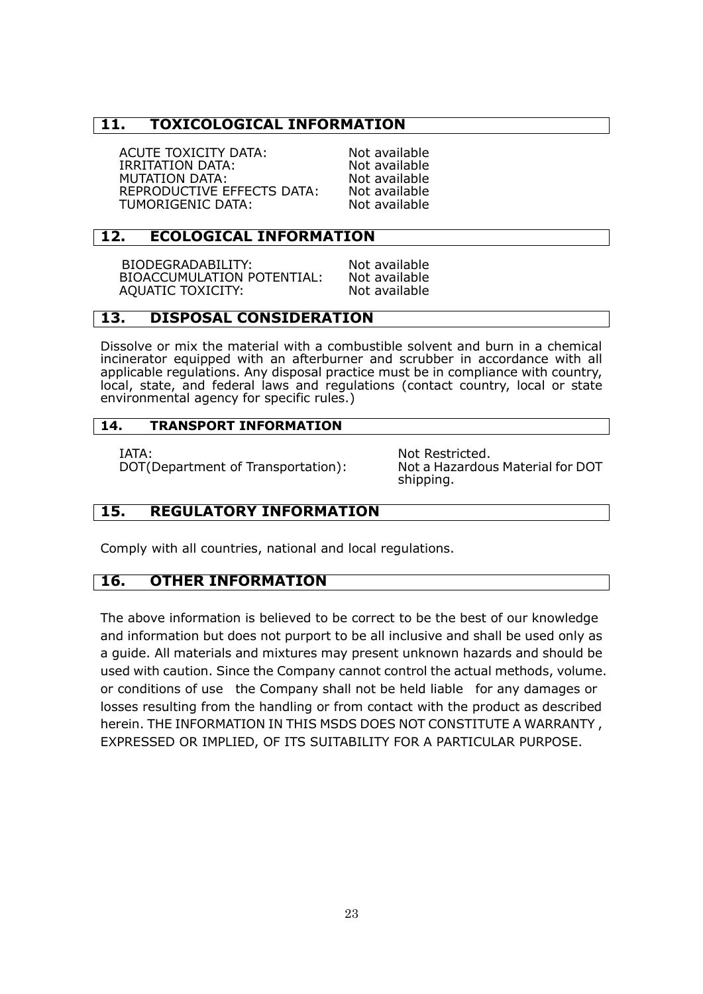### **11. TOXICOLOGICAL INFORMATION**

ACUTE TOXICITY DATA: Not available<br>
IRRITATION DATA: Not available IRRITATION DATA: MUTATION DATA: Not available REPRODUCTIVE EFFECTS DATA: Not available TUMORIGENIC DATA: Not available

### **12. ECOLOGICAL INFORMATION**

BIODEGRADABILITY: Not available BIOACCUMULATION POTENTIAL: Not available AQUATIC TOXICITY: Not available

### **13. DISPOSAL CONSIDERATION**

Dissolve or mix the material with a combustible solvent and burn in a chemical incinerator equipped with an afterburner and scrubber in accordance with all applicable regulations. Any disposal practice must be in compliance with country, local, state, and federal laws and regulations (contact country, local or state environmental agency for specific rules.)

#### **14. TRANSPORT INFORMATION**

IATA:  $\overline{D}$  DOT(Department of Transportation):  $\overline{D}$  Not A Hazardous Material for DOT DOT(Department of Transportation):

shipping.

## **15. REGULATORY INFORMATION**

Comply with all countries, national and local regulations.

#### **16. OTHER INFORMATION**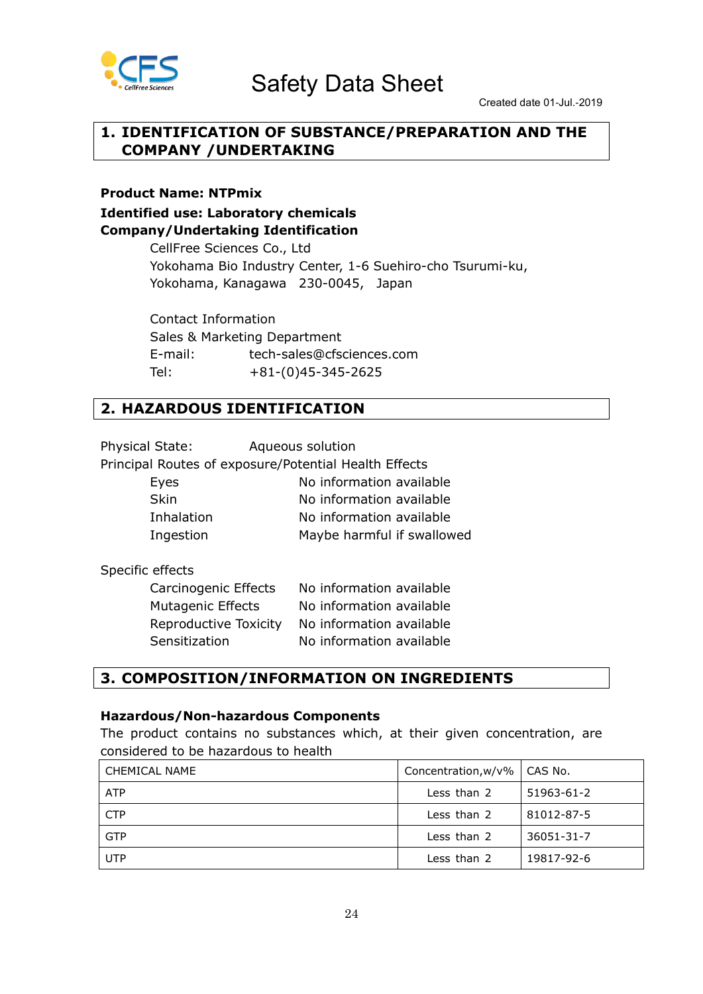

#### **Product Name: NTPmix**

## **Identified use: Laboratory chemicals Company/Undertaking Identification**

CellFree Sciences Co., Ltd Yokohama Bio Industry Center, 1-6 Suehiro-cho Tsurumi-ku, Yokohama, Kanagawa 230-0045, Japan

Contact Information Sales & Marketing Department E-mail: tech-sales@cfsciences.com Tel: +81-(0)45-345-2625

## **2. HAZARDOUS IDENTIFICATION**

| Physical State: | Aqueous solution |
|-----------------|------------------|
|-----------------|------------------|

|            | Principal Routes of exposure/Potential Health Effects |
|------------|-------------------------------------------------------|
| Eyes       | No information available                              |
| Skin       | No information available                              |
| Inhalation | No information available                              |
| Ingestion  | Maybe harmful if swallowed                            |

#### Specific effects

| No information available |
|--------------------------|
| No information available |
| No information available |
| No information available |
|                          |

## **3. COMPOSITION/INFORMATION ON INGREDIENTS**

#### **Hazardous/Non-hazardous Components**

The product contains no substances which, at their given concentration, are considered to be hazardous to health

| CHEMICAL NAME | Concentration, w/v% | CAS No.    |
|---------------|---------------------|------------|
| <b>ATP</b>    | Less than 2         | 51963-61-2 |
| <b>CTP</b>    | Less than 2         | 81012-87-5 |
| <b>GTP</b>    | Less than 2         | 36051-31-7 |
| <b>UTP</b>    | Less than 2         | 19817-92-6 |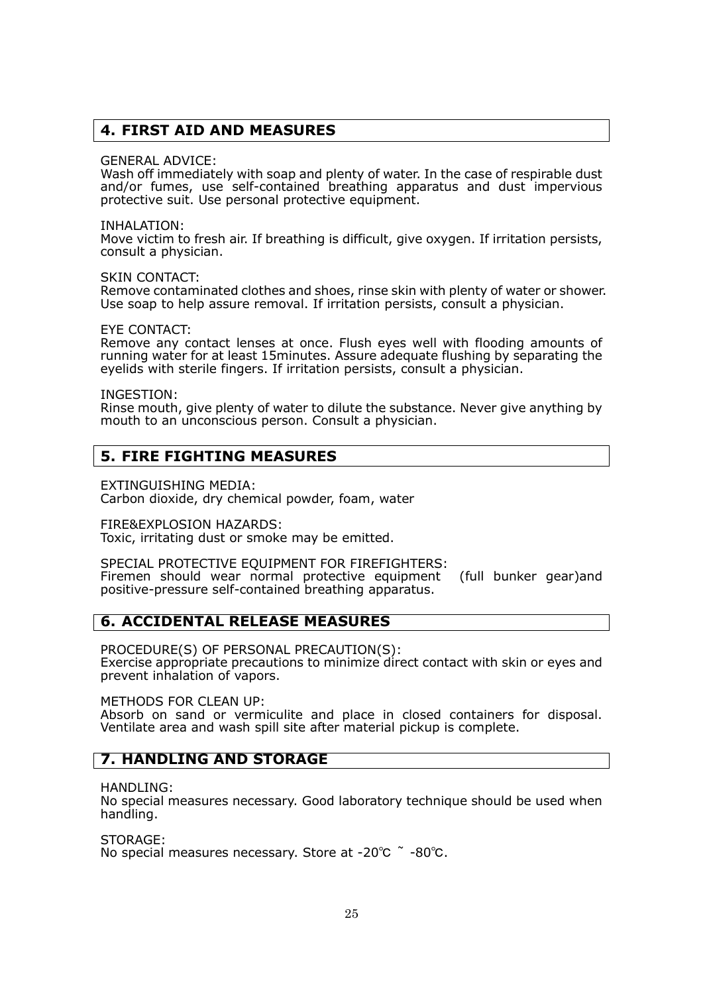#### **4. FIRST AID AND MEASURES**

GENERAL ADVICE:

Wash off immediately with soap and plenty of water. In the case of respirable dust and/or fumes, use self-contained breathing apparatus and dust impervious protective suit. Use personal protective equipment.

INHALATION:

Move victim to fresh air. If breathing is difficult, give oxygen. If irritation persists, consult a physician.

SKIN CONTACT:

Remove contaminated clothes and shoes, rinse skin with plenty of water or shower. Use soap to help assure removal. If irritation persists, consult a physician.

EYE CONTACT:

Remove any contact lenses at once. Flush eyes well with flooding amounts of running water for at least 15minutes. Assure adequate flushing by separating the eyelids with sterile fingers. If irritation persists, consult a physician.

INGESTION:

Rinse mouth, give plenty of water to dilute the substance. Never give anything by mouth to an unconscious person. Consult a physician.

#### **5. FIRE FIGHTING MEASURES**

EXTINGUISHING MEDIA:

Carbon dioxide, dry chemical powder, foam, water

FIRE&EXPLOSION HAZARDS:

Toxic, irritating dust or smoke may be emitted.

SPECIAL PROTECTIVE EQUIPMENT FOR FIREFIGHTERS: Firemen should wear normal protective equipment (full bunker gear)and positive-pressure self-contained breathing apparatus.

#### **6. ACCIDENTAL RELEASE MEASURES**

PROCEDURE(S) OF PERSONAL PRECAUTION(S): Exercise appropriate precautions to minimize direct contact with skin or eyes and prevent inhalation of vapors.

METHODS FOR CLEAN UP:

Absorb on sand or vermiculite and place in closed containers for disposal. Ventilate area and wash spill site after material pickup is complete.

#### **7. HANDLING AND STORAGE**

#### HANDLING:

No special measures necessary. Good laboratory technique should be used when handling.

STORAGE:

No special measures necessary. Store at -20℃ ~ -80℃.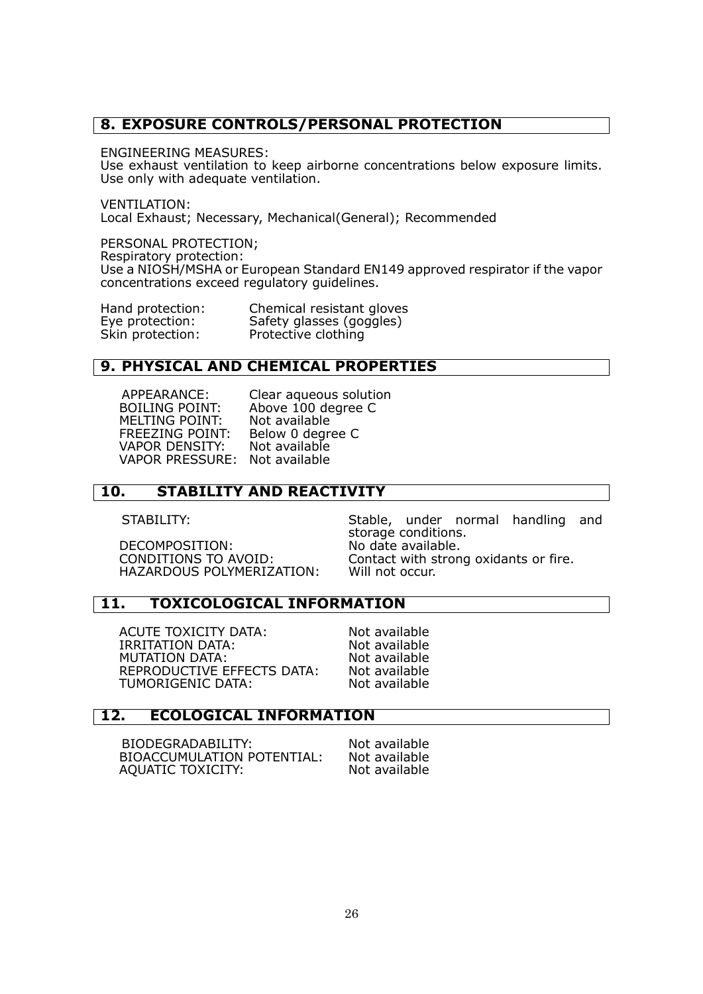#### **8. EXPOSURE CONTROLS/PERSONAL PROTECTION**

ENGINEERING MEASURES:

Use exhaust ventilation to keep airborne concentrations below exposure limits. Use only with adequate ventilation.

VENTILATION: Local Exhaust; Necessary, Mechanical(General); Recommended

PERSONAL PROTECTION;

Respiratory protection:

Use a NIOSH/MSHA or European Standard EN149 approved respirator if the vapor concentrations exceed regulatory guidelines.

Hand protection: Chemical resistant gloves<br>Eye protection: Safety glasses (goggles) Safety glasses (goggles) Skin protection: Protective clothing

#### **9. PHYSICAL AND CHEMICAL PROPERTIES**

**MELTING POINT:**  FREEZING POINT: Below 0 degree C VAPOR DENSITY: Not available VAPOR PRESSURE:

APPEARANCE: Clear aqueous solution<br>BOILING POINT: Above 100 degree C Above 100 degree C<br>Not available

### **10. STABILITY AND REACTIVITY**

DECOMPOSITION: No date available. HAZARDOUS POLYMERIZATION: Will not occur.

STABILITY: Stable, under normal handling and storage conditions. CONDITIONS TO AVOID: Contact with strong oxidants or fire.

#### **11. TOXICOLOGICAL INFORMATION**

ACUTE TOXICITY DATA: Not available IRRITATION DATA: Not available MUTATION DATA: Not available REPRODUCTIVE EFFECTS DATA: Not available TUMORIGENIC DATA: Not available

#### **12. ECOLOGICAL INFORMATION**

BIODEGRADABILITY: Not available BIOACCUMULATION POTENTIAL: Not available AQUATIC TOXICITY: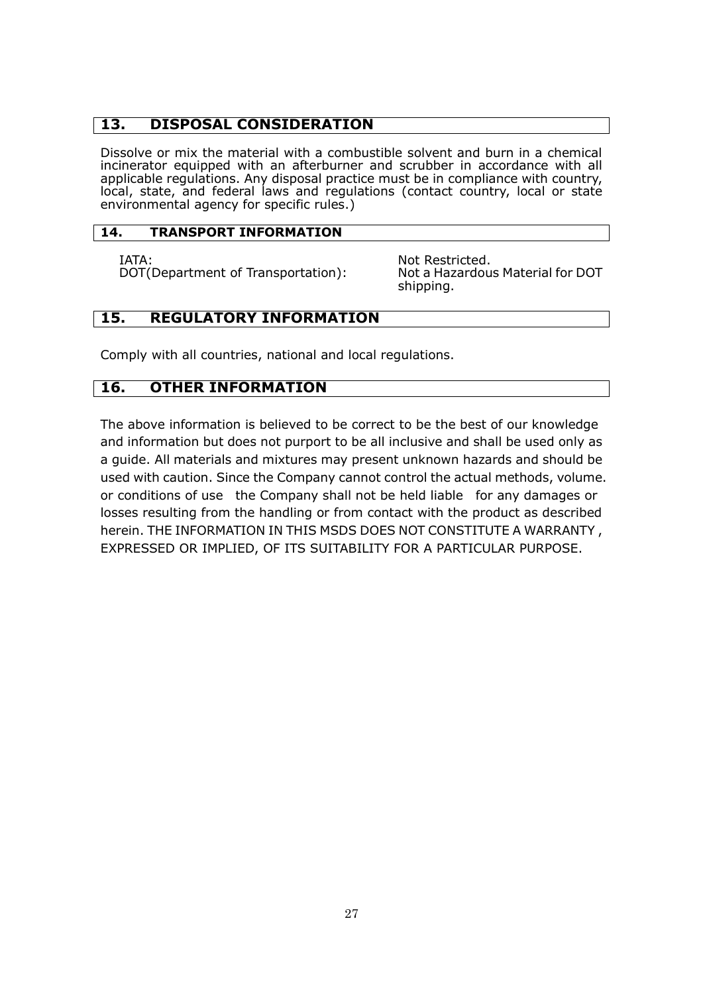## **13. DISPOSAL CONSIDERATION**

Dissolve or mix the material with a combustible solvent and burn in a chemical incinerator equipped with an afterburner and scrubber in accordance with all applicable regulations. Any disposal practice must be in compliance with country, local, state, and federal laws and regulations (contact country, local or state environmental agency for specific rules.)

#### **14. TRANSPORT INFORMATION**

DOT(Department of Transportation):

IATA:<br>DOT(Department of Transportation): Not a Hazardous Material for DOT shipping.

## **15. REGULATORY INFORMATION**

Comply with all countries, national and local regulations.

## **16. OTHER INFORMATION**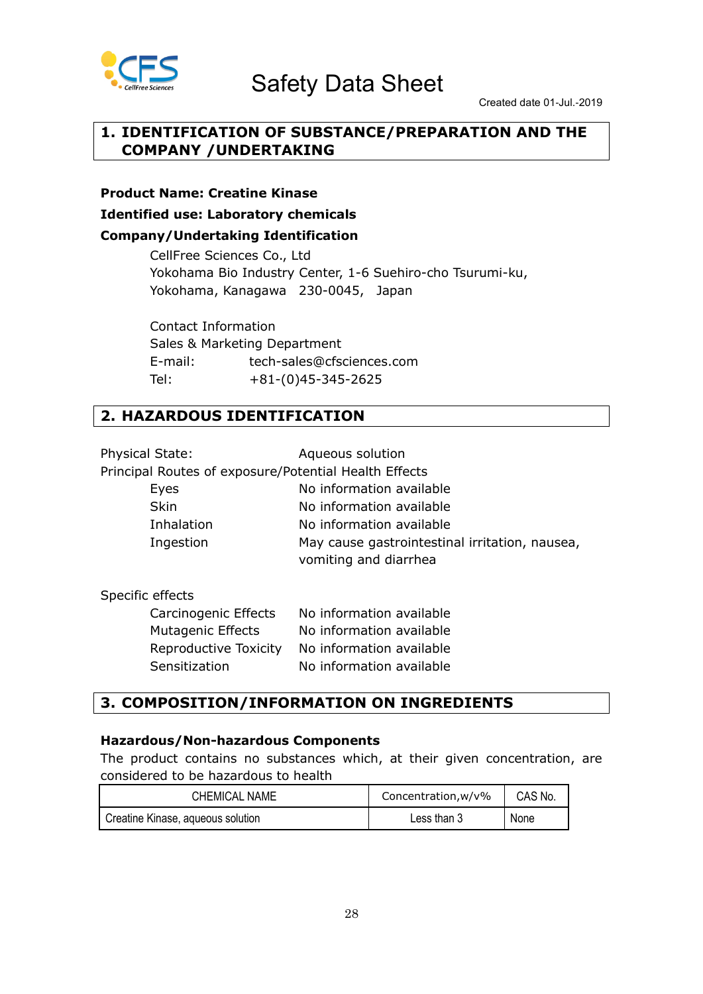

## **Product Name: Creatine Kinase Identified use: Laboratory chemicals Company/Undertaking Identification**

CellFree Sciences Co., Ltd Yokohama Bio Industry Center, 1-6 Suehiro-cho Tsurumi-ku, Yokohama, Kanagawa 230-0045, Japan

Contact Information Sales & Marketing Department E-mail: tech-sales@cfsciences.com Tel: +81-(0)45-345-2625

## **2. HAZARDOUS IDENTIFICATION**

| Aqueous solution                                                        |
|-------------------------------------------------------------------------|
| Principal Routes of exposure/Potential Health Effects                   |
| No information available                                                |
| No information available                                                |
| No information available                                                |
| May cause gastrointestinal irritation, nausea,<br>vomiting and diarrhea |
|                                                                         |

#### Specific effects

| Carcinogenic Effects     | No information available |
|--------------------------|--------------------------|
| <b>Mutagenic Effects</b> | No information available |
| Reproductive Toxicity    | No information available |
| Sensitization            | No information available |

## **3. COMPOSITION/INFORMATION ON INGREDIENTS**

#### **Hazardous/Non-hazardous Components**

The product contains no substances which, at their given concentration, are considered to be hazardous to health

| <b>CHEMICAL NAME</b>              | Concentration, w/v% | CAS No. |
|-----------------------------------|---------------------|---------|
| Creatine Kinase, aqueous solution | Less than 3         | None    |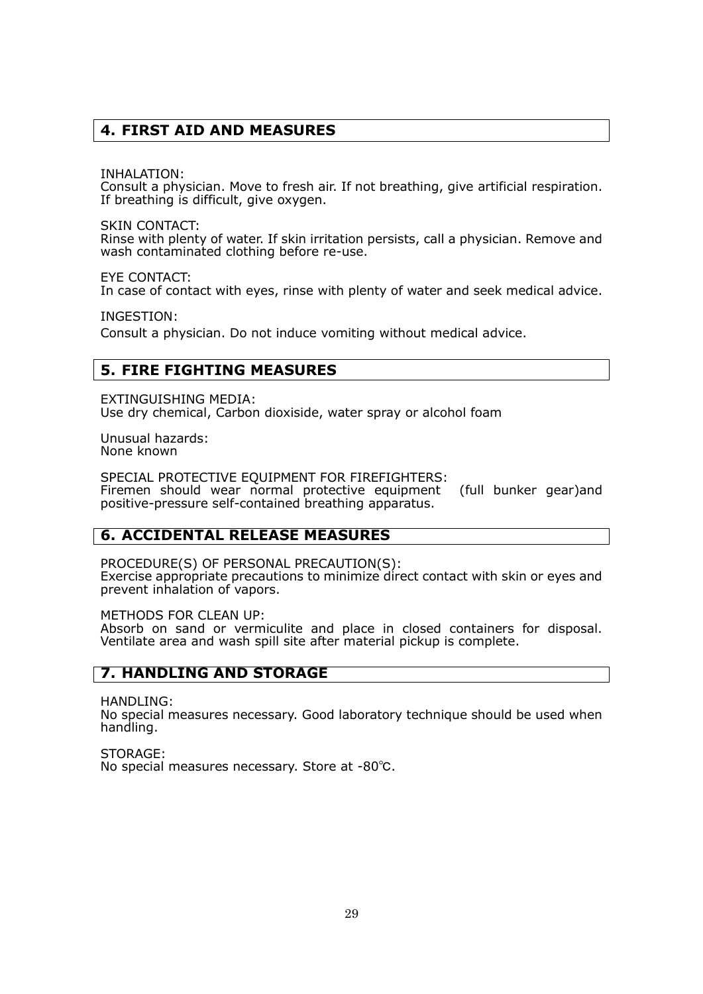### **4. FIRST AID AND MEASURES**

INHALATION:

Consult a physician. Move to fresh air. If not breathing, give artificial respiration. If breathing is difficult, give oxygen.

SKIN CONTACT:

Rinse with plenty of water. If skin irritation persists, call a physician. Remove and wash contaminated clothing before re-use.

EYE CONTACT: In case of contact with eyes, rinse with plenty of water and seek medical advice.

INGESTION:

Consult a physician. Do not induce vomiting without medical advice.

#### **5. FIRE FIGHTING MEASURES**

EXTINGUISHING MEDIA: Use dry chemical, Carbon dioxiside, water spray or alcohol foam

Unusual hazards: None known

SPECIAL PROTECTIVE EQUIPMENT FOR FIREFIGHTERS: Firemen should wear normal protective equipment (full bunker gear)and positive-pressure self-contained breathing apparatus.

#### **6. ACCIDENTAL RELEASE MEASURES**

PROCEDURE(S) OF PERSONAL PRECAUTION(S): Exercise appropriate precautions to minimize direct contact with skin or eyes and prevent inhalation of vapors.

METHODS FOR CLEAN UP:

Absorb on sand or vermiculite and place in closed containers for disposal. Ventilate area and wash spill site after material pickup is complete.

#### **7. HANDLING AND STORAGE**

HANDLING:

No special measures necessary. Good laboratory technique should be used when handling.

STORAGE: No special measures necessary. Store at -80℃.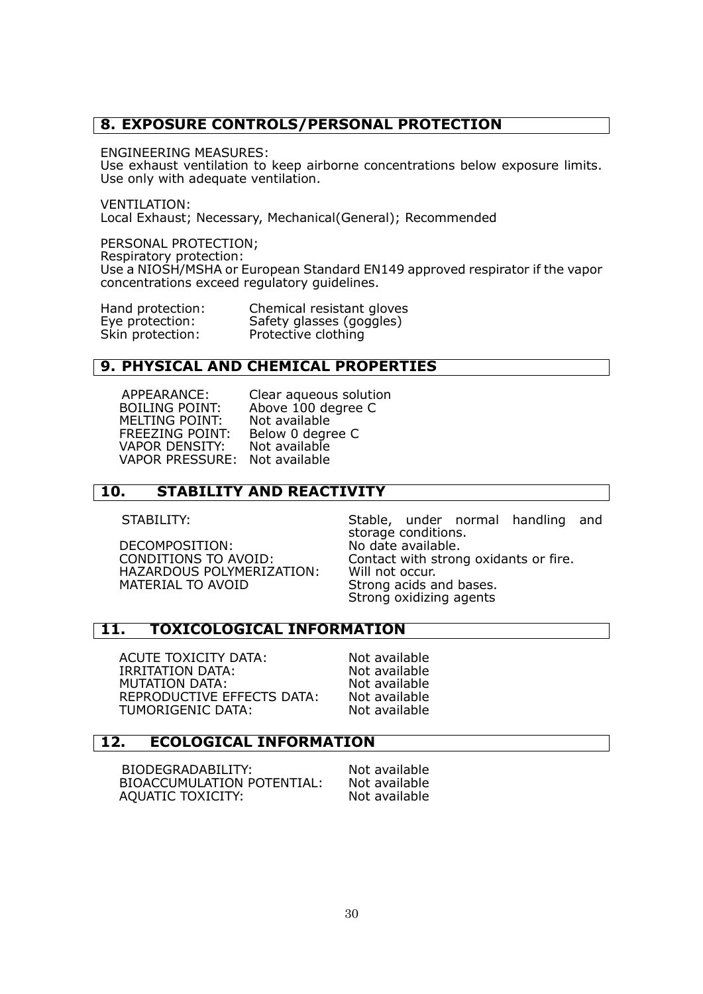#### **8. EXPOSURE CONTROLS/PERSONAL PROTECTION**

ENGINEERING MEASURES:

Use exhaust ventilation to keep airborne concentrations below exposure limits. Use only with adequate ventilation.

VENTILATION: Local Exhaust; Necessary, Mechanical(General); Recommended

PERSONAL PROTECTION;

Respiratory protection:

Use a NIOSH/MSHA or European Standard EN149 approved respirator if the vapor concentrations exceed regulatory guidelines.

Hand protection: Chemical resistant gloves<br>Eye protection: Safety glasses (goggles) Safety glasses (goggles) Skin protection: Protective clothing

#### **9. PHYSICAL AND CHEMICAL PROPERTIES**

**MELTING POINT:**  FREEZING POINT: Below 0 degree C VAPOR DENSITY: Not available VAPOR PRESSURE:

APPEARANCE: Clear aqueous solution<br>BOILING POINT: Above 100 degree C Above 100 degree C<br>Not available

### **10. STABILITY AND REACTIVITY**

DECOMPOSITION: No date available. HAZARDOUS POLYMERIZATION: Will not occur. MATERIAL TO AVOID Strong acids and bases.

STABILITY: Stable, under normal handling and storage conditions. CONDITIONS TO AVOID: Contact with strong oxidants or fire. Strong oxidizing agents

#### **11. TOXICOLOGICAL INFORMATION**

ACUTE TOXICITY DATA: Not available<br>IRRITATION DATA: Not available IRRITATION DATA: MUTATION DATA: Not available<br>REPRODUCTIVE EFFECTS DATA: Not available REPRODUCTIVE EFFECTS DATA: Not available<br>TUMORIGENIC DATA: Not available TUMORIGENIC DATA:

#### **12. ECOLOGICAL INFORMATION**

BIODEGRADABILITY: Not available<br>BIOACCUMULATION POTENTIAL: Not available BIOACCUMULATION POTENTIAL: Not available<br>AQUATIC TOXICITY: Not available AQUATIC TOXICITY: